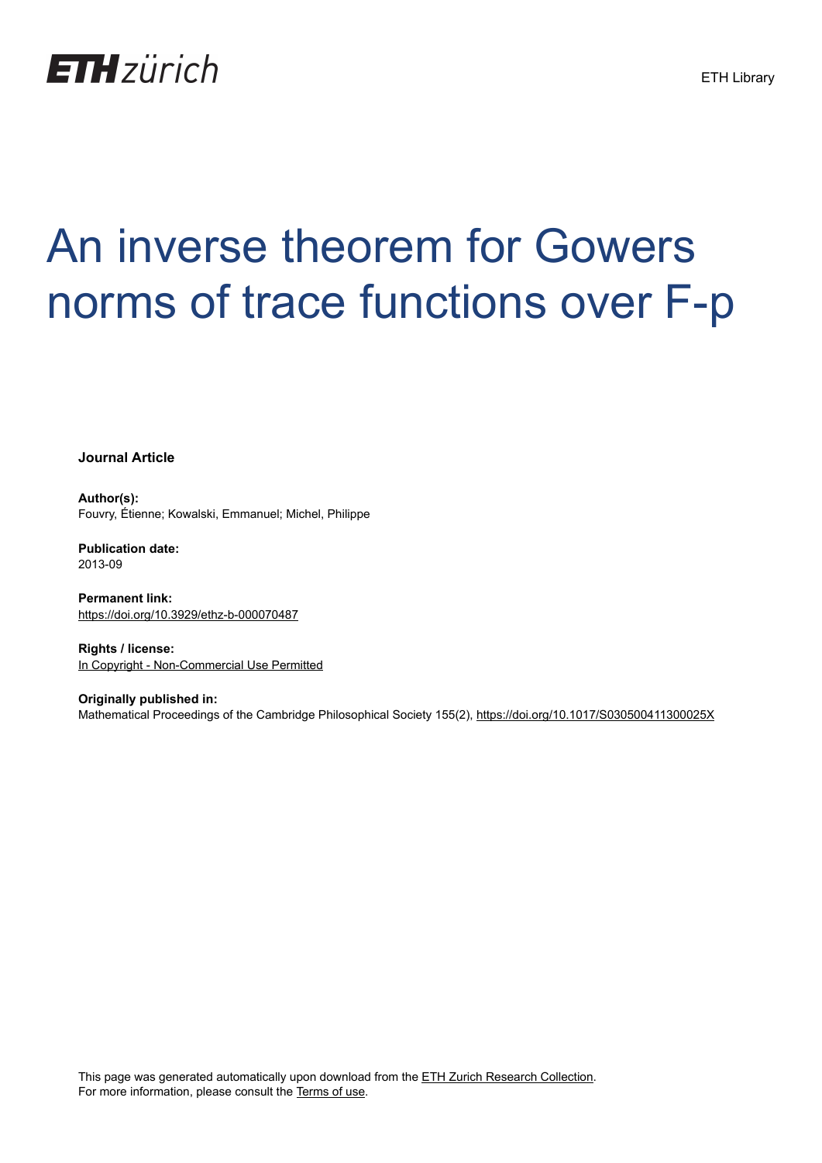

# An inverse theorem for Gowers norms of trace functions over F-p

**Journal Article**

**Author(s):** Fouvry, Étienne; Kowalski, Emmanuel; Michel, Philippe

**Publication date:** 2013-09

**Permanent link:** <https://doi.org/10.3929/ethz-b-000070487>

**Rights / license:** [In Copyright - Non-Commercial Use Permitted](http://rightsstatements.org/page/InC-NC/1.0/)

**Originally published in:** Mathematical Proceedings of the Cambridge Philosophical Society 155(2),<https://doi.org/10.1017/S030500411300025X>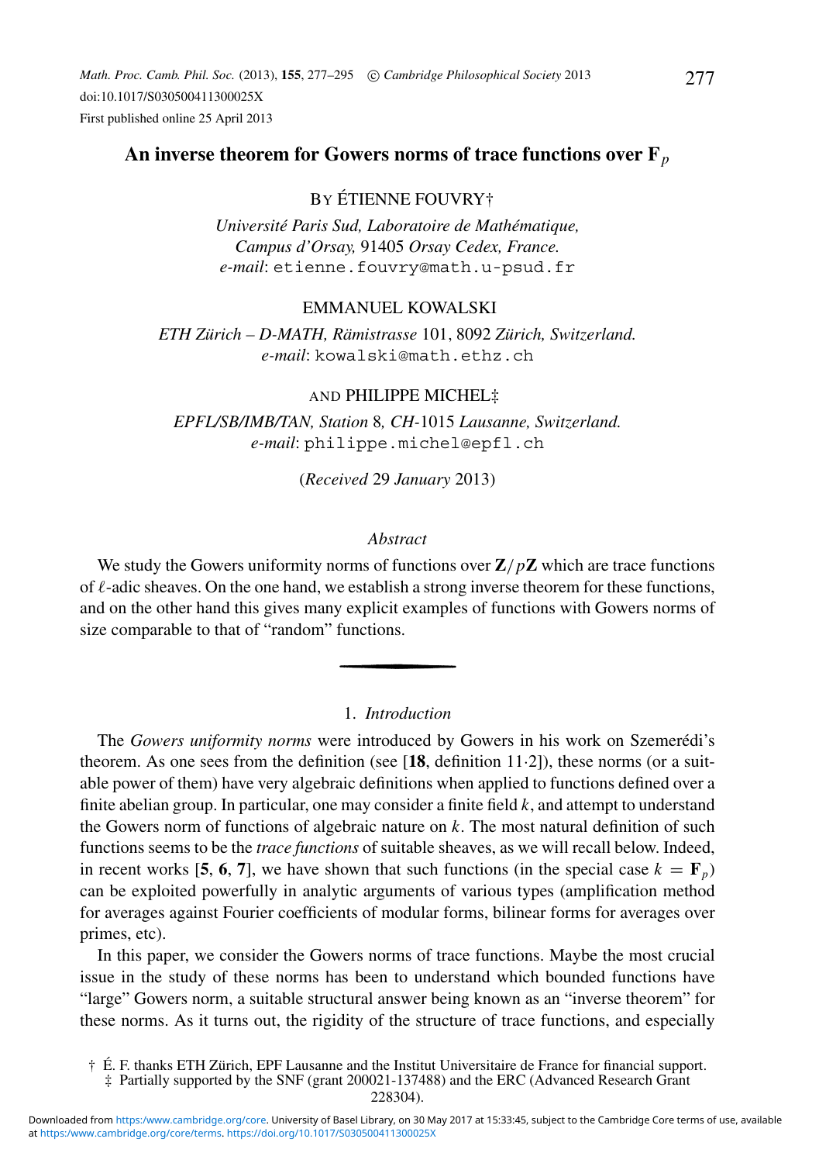*Math. Proc. Camb. Phil. Soc.* (2013), **155**, 277–295 -c *Cambridge Philosophical Society* 2013 doi:10.1017/S030500411300025X First published online 25 April 2013

# **An inverse theorem for Gowers norms of trace functions over F***<sup>p</sup>*

# BY ETIENNE FOUVRY† ´

*Université Paris Sud, Laboratoire de Mathématique, Campus d'Orsay,* 91405 *Orsay Cedex, France. e-mail*: etienne.fouvry@math.u-psud.fr

## EMMANUEL KOWALSKI

*ETH Zurich – D-MATH, R ¨ amistrasse ¨* 101, 8092 *Zurich, Switzerland. ¨ e-mail*: kowalski@math.ethz.ch

## AND PHILIPPE MICHEL‡

*EPFL/SB/IMB/TAN, Station* 8*, CH-*1015 *Lausanne, Switzerland. e-mail*: philippe.michel@epfl.ch

## (*Received* 29 *January* 2013)

#### *Abstract*

We study the Gowers uniformity norms of functions over **Z**/*p***Z** which are trace functions of  $\ell$ -adic sheaves. On the one hand, we establish a strong inverse theorem for these functions, and on the other hand this gives many explicit examples of functions with Gowers norms of size comparable to that of "random" functions.

## 1. *Introduction*

The *Gowers uniformity norms* were introduced by Gowers in his work on Szemerédi's theorem. As one sees from the definition (see [**18**, definition 11·2]), these norms (or a suitable power of them) have very algebraic definitions when applied to functions defined over a finite abelian group. In particular, one may consider a finite field *k*, and attempt to understand the Gowers norm of functions of algebraic nature on *k*. The most natural definition of such functions seems to be the *trace functions* of suitable sheaves, as we will recall below. Indeed, in recent works [5, 6, 7], we have shown that such functions (in the special case  $k = \mathbf{F}_p$ ) can be exploited powerfully in analytic arguments of various types (amplification method for averages against Fourier coefficients of modular forms, bilinear forms for averages over primes, etc).

In this paper, we consider the Gowers norms of trace functions. Maybe the most crucial issue in the study of these norms has been to understand which bounded functions have "large" Gowers norm, a suitable structural answer being known as an "inverse theorem" for these norms. As it turns out, the rigidity of the structure of trace functions, and especially

 $\dagger$  É. F. thanks ETH Zürich, EPF Lausanne and the Institut Universitaire de France for financial support.

<sup>‡</sup> Partially supported by the SNF (grant 200021-137488) and the ERC (Advanced Research Grant 228304).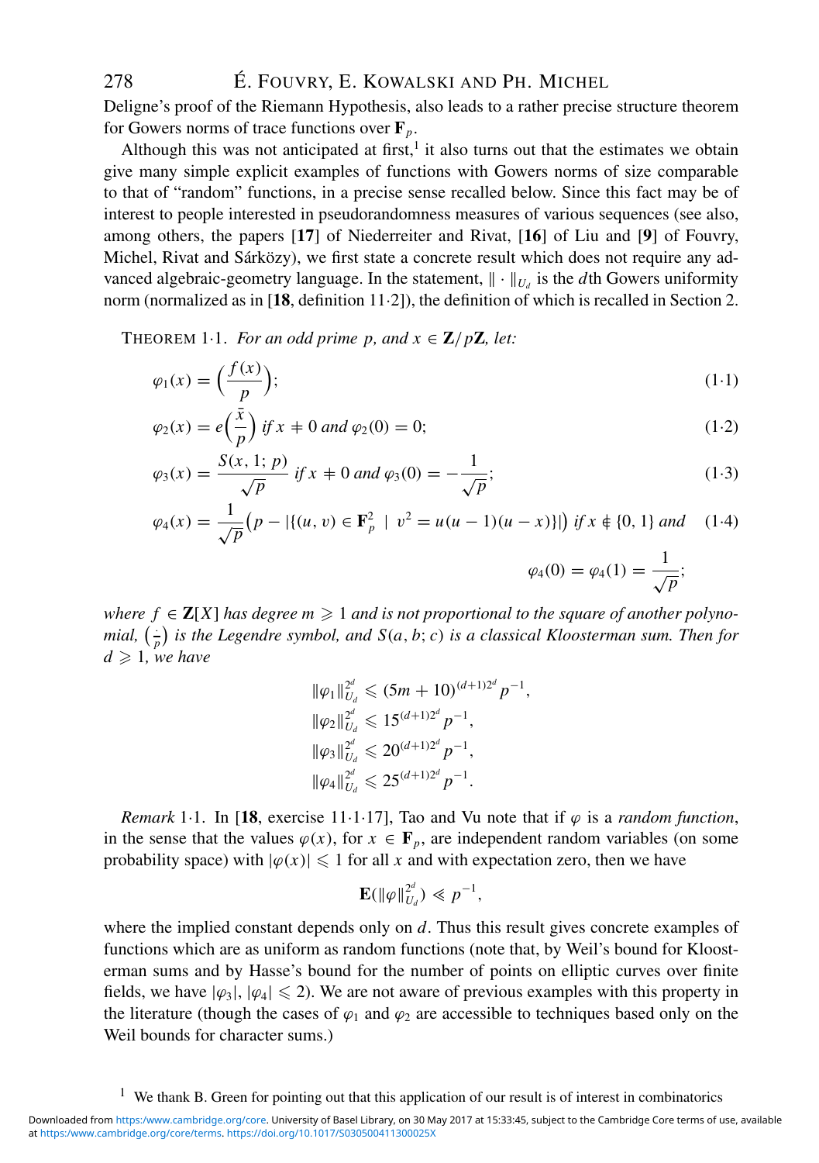Deligne's proof of the Riemann Hypothesis, also leads to a rather precise structure theorem for Gowers norms of trace functions over  $\mathbf{F}_p$ .

Although this was not anticipated at first, $<sup>1</sup>$  it also turns out that the estimates we obtain</sup> give many simple explicit examples of functions with Gowers norms of size comparable to that of "random" functions, in a precise sense recalled below. Since this fact may be of interest to people interested in pseudorandomness measures of various sequences (see also, among others, the papers [**17**] of Niederreiter and Rivat, [**16**] of Liu and [**9**] of Fouvry, Michel, Rivat and Sárközy), we first state a concrete result which does not require any advanced algebraic-geometry language. In the statement,  $\|\cdot\|_{U_d}$  is the *d*th Gowers uniformity norm (normalized as in [**18**, definition 11·2]), the definition of which is recalled in Section 2.

THEOREM 1.1. *For an odd prime p, and*  $x \in \mathbb{Z}/p\mathbb{Z}$ *, let:* 

$$
\varphi_1(x) = \left(\frac{f(x)}{p}\right); \tag{1-1}
$$

$$
\varphi_2(x) = e\left(\frac{\bar{x}}{p}\right) \text{ if } x \neq 0 \text{ and } \varphi_2(0) = 0; \tag{1.2}
$$

$$
\varphi_3(x) = \frac{S(x, 1; p)}{\sqrt{p}} \text{ if } x \neq 0 \text{ and } \varphi_3(0) = -\frac{1}{\sqrt{p}}; \tag{1.3}
$$

$$
\varphi_4(x) = \frac{1}{\sqrt{p}} \big( p - |\{(u, v) \in \mathbf{F}_p^2 \mid v^2 = u(u - 1)(u - x) \}|\big) \text{ if } x \notin \{0, 1\} \text{ and } (1 \cdot 4)
$$

$$
\varphi_4(0) = \varphi_4(1) = \frac{1}{\sqrt{p}};
$$

 $where f \in \mathbb{Z}[X]$  has degree  $m \geqslant 1$  and is not proportional to the square of another polyno*mial,*  $\left(\frac{1}{p}\right)$  *is the Legendre symbol, and S*(*a, b; c) is a classical Kloosterman sum. Then for*  $d \geqslant 1$ , we have

$$
\|\varphi_1\|_{U_d}^{2^d} \leq (5m + 10)^{(d+1)2^d} p^{-1},
$$
  
\n
$$
\|\varphi_2\|_{U_d}^{2^d} \leq 15^{(d+1)2^d} p^{-1},
$$
  
\n
$$
\|\varphi_3\|_{U_d}^{2^d} \leq 20^{(d+1)2^d} p^{-1},
$$
  
\n
$$
\|\varphi_4\|_{U_d}^{2^d} \leq 25^{(d+1)2^d} p^{-1}.
$$

*Remark* 1.1. In [18, exercise 11.1.17], Tao and Vu note that if  $\varphi$  is a *random function*, in the sense that the values  $\varphi(x)$ , for  $x \in \mathbf{F}_p$ , are independent random variables (on some probability space) with  $|\varphi(x)| \leq 1$  for all *x* and with expectation zero, then we have

$$
\mathbf{E}(\|\varphi\|_{U_d}^{2^d}) \ll p^{-1},
$$

where the implied constant depends only on *d*. Thus this result gives concrete examples of functions which are as uniform as random functions (note that, by Weil's bound for Kloosterman sums and by Hasse's bound for the number of points on elliptic curves over finite fields, we have  $|\varphi_3|, |\varphi_4| \leq 2$ ). We are not aware of previous examples with this property in the literature (though the cases of  $\varphi_1$  and  $\varphi_2$  are accessible to techniques based only on the Weil bounds for character sums.)

<sup>&</sup>lt;sup>1</sup> We thank B. Green for pointing out that this application of our result is of interest in combinatorics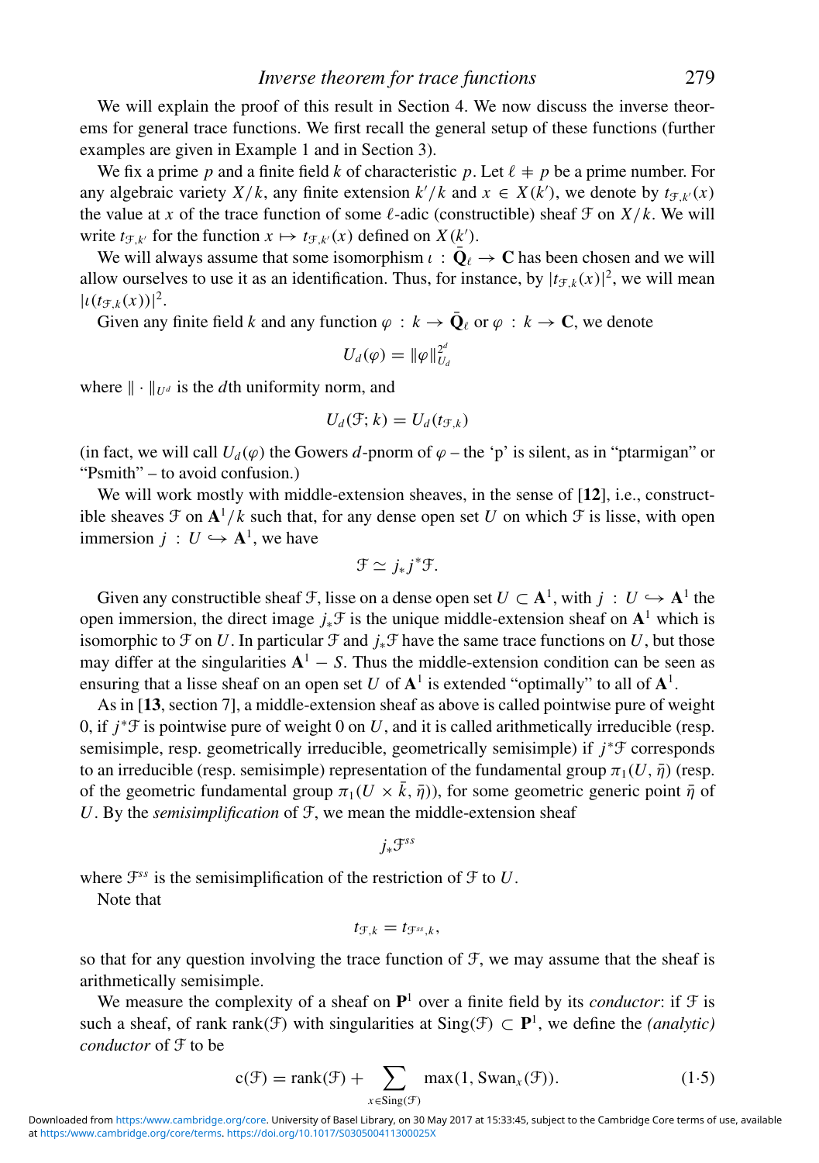We will explain the proof of this result in Section 4. We now discuss the inverse theorems for general trace functions. We first recall the general setup of these functions (further examples are given in Example 1 and in Section 3).

We fix a prime p and a finite field k of characteristic p. Let  $\ell + p$  be a prime number. For any algebraic variety  $X/k$ , any finite extension  $k'/k$  and  $x \in X(k')$ , we denote by  $t_{\mathcal{F},k'}(x)$ the value at *x* of the trace function of some  $\ell$ -adic (constructible) sheaf  $\mathcal{F}$  on  $X/k$ . We will write  $t_{\mathcal{F},k'}$  for the function  $x \mapsto t_{\mathcal{F},k'}(x)$  defined on  $X(k')$ .

We will always assume that some isomorphism  $\iota : \bar{\mathbf{Q}}_{\ell} \to \mathbf{C}$  has been chosen and we will allow ourselves to use it as an identification. Thus, for instance, by  $|t_{\mathcal{F},k}(x)|^2$ , we will mean  $|t(t_{\mathcal{F},k}(x))|^2$ .

Given any finite field *k* and any function  $\varphi : k \to \bar{\mathbf{Q}}_\ell$  or  $\varphi : k \to \mathbf{C}$ , we denote

$$
U_d(\varphi) = \|\varphi\|_{U_d}^{2^d}
$$

where  $\|\cdot\|_{U^d}$  is the *d*th uniformity norm, and

$$
U_d(\mathcal{F};k) = U_d(t_{\mathcal{F},k})
$$

(in fact, we will call  $U_d(\varphi)$  the Gowers *d*-pnorm of  $\varphi$  – the 'p' is silent, as in "ptarmigan" or "Psmith" – to avoid confusion.)

We will work mostly with middle-extension sheaves, in the sense of [12], i.e., constructible sheaves  $\mathcal F$  on  $\mathbf{A}^1/k$  such that, for any dense open set U on which  $\mathcal F$  is lisse, with open immersion  $j: U \hookrightarrow \mathbf{A}^1$ , we have

$$
\mathfrak{F}\simeq j_*j^*\mathfrak{F}.
$$

Given any constructible sheaf F, lisse on a dense open set  $U \subset \mathbf{A}^1$ , with  $j : U \hookrightarrow \mathbf{A}^1$  the open immersion, the direct image *j*∗F is the unique middle-extension sheaf on **A**<sup>1</sup> which is isomorphic to  $\mathcal F$  on  $U$ . In particular  $\mathcal F$  and  $j_*\mathcal F$  have the same trace functions on  $U$ , but those may differ at the singularities  $A<sup>1</sup> - S$ . Thus the middle-extension condition can be seen as ensuring that a lisse sheaf on an open set *U* of  $A<sup>1</sup>$  is extended "optimally" to all of  $A<sup>1</sup>$ .

As in [**13**, section 7], a middle-extension sheaf as above is called pointwise pure of weight 0, if  $j^* \mathcal{F}$  is pointwise pure of weight 0 on *U*, and it is called arithmetically irreducible (resp. semisimple, resp. geometrically irreducible, geometrically semisimple) if *j*<sup>∗</sup>F corresponds to an irreducible (resp. semisimple) representation of the fundamental group  $\pi_1(U, \bar{\eta})$  (resp. of the geometric fundamental group  $\pi_1(U \times \bar{k}, \bar{\eta})$ , for some geometric generic point  $\bar{\eta}$  of *U*. By the *semisimplification* of F, we mean the middle-extension sheaf

*j*∗F*ss*

where  $\mathcal{F}^{ss}$  is the semisimplification of the restriction of  $\mathcal F$  to  $U$ .

Note that

$$
t_{\mathcal{F},k}=t_{\mathcal{F}^{ss},k},
$$

so that for any question involving the trace function of  $\mathcal{F}$ , we may assume that the sheaf is arithmetically semisimple.

We measure the complexity of a sheaf on  $P<sup>1</sup>$  over a finite field by its *conductor*: if  $\mathcal F$  is such a sheaf, of rank rank(F) with singularities at  $Sing(f) \subset P^1$ , we define the *(analytic) conductor* of F to be

$$
c(\mathcal{F}) = \text{rank}(\mathcal{F}) + \sum_{x \in \text{Sing}(\mathcal{F})} \max(1, \text{Swan}_x(\mathcal{F})). \tag{1.5}
$$

at [https:/www.cambridge.org/core/terms.](https:/www.cambridge.org/core/terms) <https://doi.org/10.1017/S030500411300025X> Downloaded from <https:/www.cambridge.org/core>. University of Basel Library, on 30 May 2017 at 15:33:45, subject to the Cambridge Core terms of use, available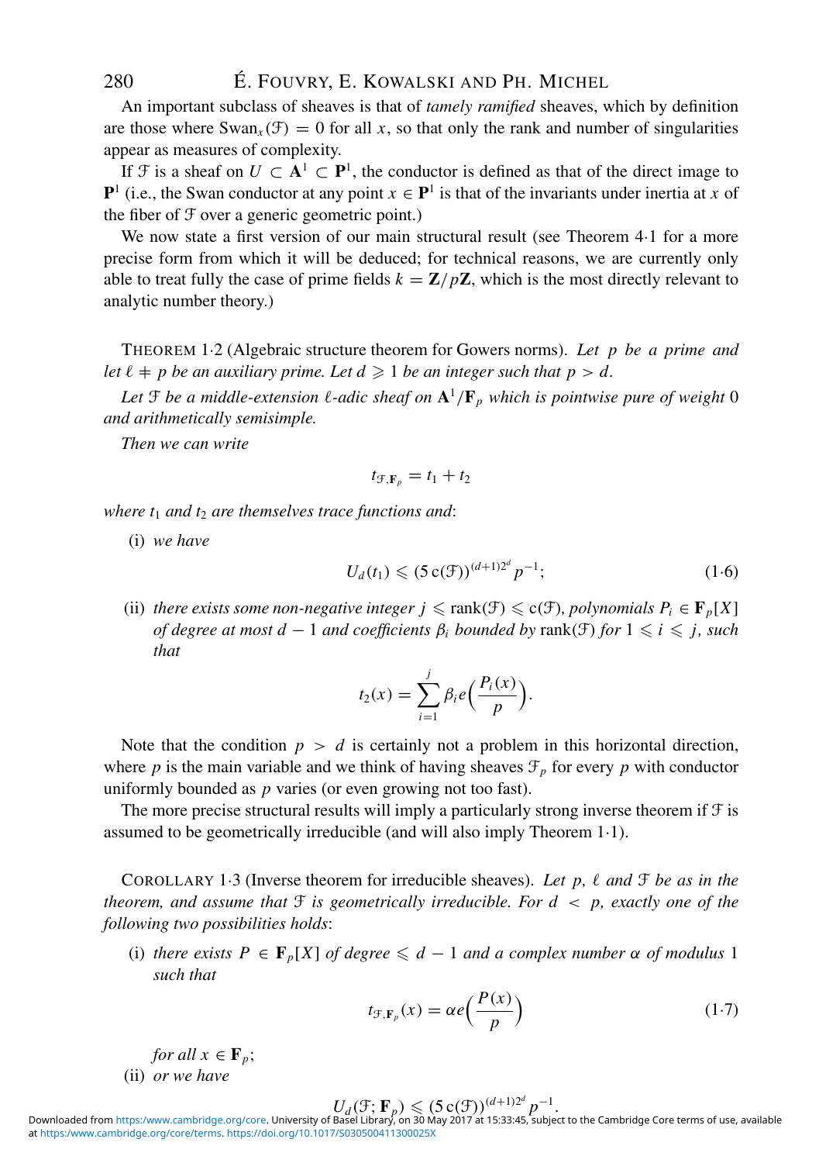An important subclass of sheaves is that of *tamely ramified* sheaves, which by definition are those where  $\text{Swan}_{x}(\mathcal{F}) = 0$  for all x, so that only the rank and number of singularities appear as measures of complexity.

If F is a sheaf on  $U \subset A^1 \subset P^1$ , the conductor is defined as that of the direct image to **P**<sup>1</sup> (i.e., the Swan conductor at any point  $x \in \mathbf{P}$ <sup>1</sup> is that of the invariants under inertia at *x* of the fiber of F over a generic geometric point.)

We now state a first version of our main structural result (see Theorem 4.1 for a more precise form from which it will be deduced; for technical reasons, we are currently only able to treat fully the case of prime fields  $k = \mathbb{Z}/p\mathbb{Z}$ , which is the most directly relevant to analytic number theory.)

THEOREM 1·2 (Algebraic structure theorem for Gowers norms). *Let p be a prime and* let  $\ell + p$  be an auxiliary prime. Let  $d \geqslant 1$  be an integer such that  $p > d$ .

Let  $\mathfrak F$  be a middle-extension  $\ell$ -adic sheaf on  $\mathbf A^1/\mathbf F_p$  which is pointwise pure of weight  $0$ *and arithmetically semisimple.*

*Then we can write*

$$
t_{\mathcal{F},\mathbf{F}_p}=t_1+t_2
$$

*where*  $t_1$  *and*  $t_2$  *are themselves trace functions and:* 

(i) *we have*

$$
U_d(t_1) \leqslant (5\,\mathrm{c}(\mathcal{F}))^{(d+1)2^d} \, p^{-1};\tag{1-6}
$$

(ii) *there exists some non-negative integer*  $j \leqslant \text{rank}(\mathcal{F}) \leqslant \text{c}(\mathcal{F})$ *, polynomials*  $P_i \in \mathbf{F}_p[X]$ *of degree at most d* − 1 *and coefficients*  $\beta_i$  *bounded by* rank( $\mathcal{F}$ ) *for* 1  $\leq i \leq j$ *, such that*

$$
t_2(x) = \sum_{i=1}^j \beta_i e\left(\frac{P_i(x)}{p}\right).
$$

Note that the condition  $p > d$  is certainly not a problem in this horizontal direction, where *p* is the main variable and we think of having sheaves  $\mathcal{F}_p$  for every *p* with conductor uniformly bounded as *p* varies (or even growing not too fast).

The more precise structural results will imply a particularly strong inverse theorem if  $\mathcal F$  is assumed to be geometrically irreducible (and will also imply Theorem 1·1).

COROLLARY 1.3 (Inverse theorem for irreducible sheaves). Let p,  $\ell$  and  $\mathcal{F}$  be as in the *theorem, and assume that* F *is geometrically irreducible. For d* < *p, exactly one of the following two possibilities holds*:

(i) *there exists*  $P \in \mathbf{F}_p[X]$  *of degree*  $\leq d-1$  *and a complex number*  $\alpha$  *of modulus* 1 *such that*

$$
t_{\mathcal{F},\mathbf{F}_p}(x) = \alpha e\left(\frac{P(x)}{p}\right) \tag{1.7}
$$

*for all*  $x \in \mathbf{F}_p$ ; (ii) *or we have*

$$
U_d(\mathcal{F}; \mathbf{F}_p) \leqslant (5\operatorname{c}(\mathcal{F}))^{(d+1)2^a} p^{-1}.
$$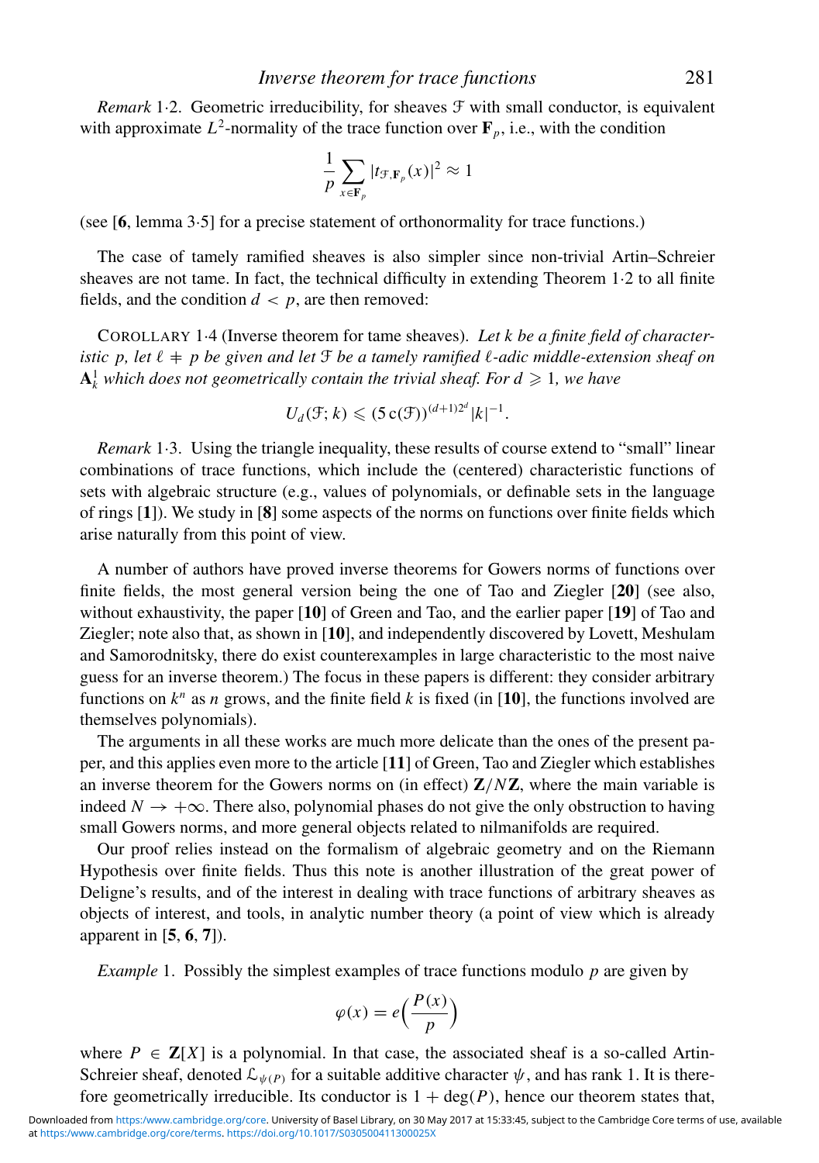*Remark* 1.2. Geometric irreducibility, for sheaves  $\mathcal F$  with small conductor, is equivalent with approximate  $L^2$ -normality of the trace function over  $\mathbf{F}_p$ , i.e., with the condition

$$
\frac{1}{p}\sum_{x\in\mathbf{F}_p}|t_{\mathcal{F},\mathbf{F}_p}(x)|^2\approx 1
$$

(see [**6**, lemma 3·5] for a precise statement of orthonormality for trace functions.)

The case of tamely ramified sheaves is also simpler since non-trivial Artin–Schreier sheaves are not tame. In fact, the technical difficulty in extending Theorem 1·2 to all finite fields, and the condition  $d < p$ , are then removed:

COROLLARY 1·4 (Inverse theorem for tame sheaves). *Let k be a finite field of character*istic p, let  $\ell + p$  be given and let  $\mathfrak F$  be a tamely ramified  $\ell$ -adic middle-extension sheaf on  $\mathbf{A}^1_k$  which does not geometrically contain the trivial sheaf. For  $d\geqslant 1,$  we have

$$
U_d(\mathcal{F};k) \leqslant (5\,\mathrm{c}(\mathcal{F}))^{(d+1)2^d} |k|^{-1}.
$$

*Remark* 1·3. Using the triangle inequality, these results of course extend to "small" linear combinations of trace functions, which include the (centered) characteristic functions of sets with algebraic structure (e.g., values of polynomials, or definable sets in the language of rings [**1**]). We study in [**8**] some aspects of the norms on functions over finite fields which arise naturally from this point of view.

A number of authors have proved inverse theorems for Gowers norms of functions over finite fields, the most general version being the one of Tao and Ziegler [**20**] (see also, without exhaustivity, the paper [**10**] of Green and Tao, and the earlier paper [**19**] of Tao and Ziegler; note also that, as shown in [**10**], and independently discovered by Lovett, Meshulam and Samorodnitsky, there do exist counterexamples in large characteristic to the most naive guess for an inverse theorem.) The focus in these papers is different: they consider arbitrary functions on  $k^n$  as *n* grows, and the finite field *k* is fixed (in [10], the functions involved are themselves polynomials).

The arguments in all these works are much more delicate than the ones of the present paper, and this applies even more to the article [**11**] of Green, Tao and Ziegler which establishes an inverse theorem for the Gowers norms on (in effect) **Z**/*N***Z**, where the main variable is indeed  $N \rightarrow +\infty$ . There also, polynomial phases do not give the only obstruction to having small Gowers norms, and more general objects related to nilmanifolds are required.

Our proof relies instead on the formalism of algebraic geometry and on the Riemann Hypothesis over finite fields. Thus this note is another illustration of the great power of Deligne's results, and of the interest in dealing with trace functions of arbitrary sheaves as objects of interest, and tools, in analytic number theory (a point of view which is already apparent in [**5**, **6**, **7**]).

*Example* 1. Possibly the simplest examples of trace functions modulo *p* are given by

$$
\varphi(x) = e\left(\frac{P(x)}{p}\right)
$$

where  $P \in \mathbb{Z}[X]$  is a polynomial. In that case, the associated sheaf is a so-called Artin-Schreier sheaf, denoted  $\mathcal{L}_{\psi(P)}$  for a suitable additive character  $\psi$ , and has rank 1. It is therefore geometrically irreducible. Its conductor is  $1 + \deg(P)$ , hence our theorem states that,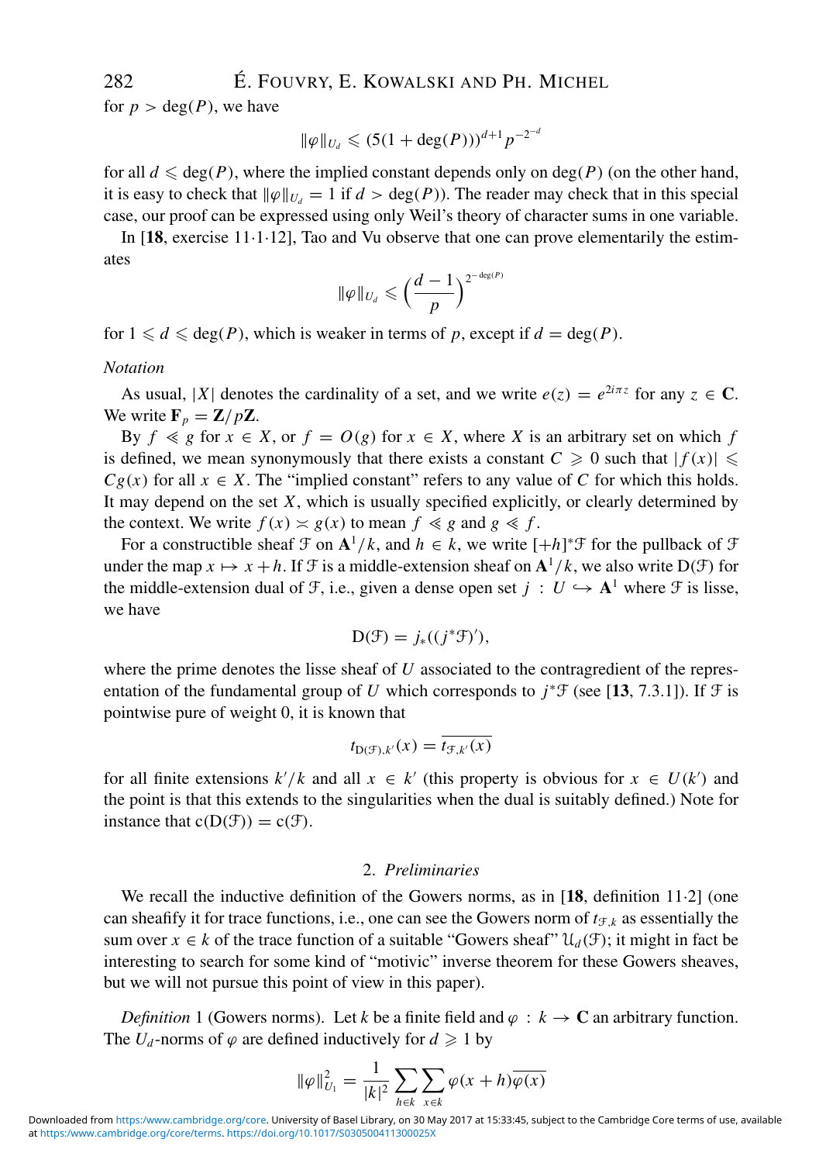for  $p > \deg(P)$ , we have

$$
\|\varphi\|_{U_d} \leq (5(1+\deg(P)))^{d+1} p^{-2^{-d}}
$$

for all  $d \leq \text{deg}(P)$ , where the implied constant depends only on  $\text{deg}(P)$  (on the other hand, it is easy to check that  $\|\varphi\|_{U_d} = 1$  if  $d > \deg(P)$ ). The reader may check that in this special case, our proof can be expressed using only Weil's theory of character sums in one variable.

In [**18**, exercise 11·1·12], Tao and Vu observe that one can prove elementarily the estimates

$$
\|\varphi\|_{U_d}\leqslant \Big(\frac{d-1}{p}\Big)^{2^{-\deg(P)}}
$$

for  $1 \le d \le \deg(P)$ , which is weaker in terms of p, except if  $d = \deg(P)$ .

#### *Notation*

As usual, |*X*| denotes the cardinality of a set, and we write  $e(z) = e^{2i\pi z}$  for any  $z \in \mathbb{C}$ . We write  $\mathbf{F}_p = \mathbf{Z}/p\mathbf{Z}$ .

By  $f \le g$  for  $x \in X$ , or  $f = O(g)$  for  $x \in X$ , where *X* is an arbitrary set on which *f* is defined, we mean synonymously that there exists a constant  $C \geq 0$  such that  $|f(x)| \leq$  $Cg(x)$  for all  $x \in X$ . The "implied constant" refers to any value of *C* for which this holds. It may depend on the set *X*, which is usually specified explicitly, or clearly determined by the context. We write  $f(x) \approx g(x)$  to mean  $f \le g$  and  $g \le f$ .

For a constructible sheaf  $\mathcal{F}$  on  $\mathbf{A}^1/k$ , and  $h \in k$ , we write  $[+h]^* \mathcal{F}$  for the pullback of  $\mathcal{F}$ under the map  $x \mapsto x + h$ . If F is a middle-extension sheaf on  $\mathbf{A}^1/k$ , we also write  $D(\mathcal{F})$  for the middle-extension dual of F, i.e., given a dense open set  $j : U \hookrightarrow A^1$  where F is lisse, we have

$$
D(\mathcal{F}) = j_{*}((j^{*}\mathcal{F})'),
$$

where the prime denotes the lisse sheaf of *U* associated to the contragredient of the representation of the fundamental group of *U* which corresponds to  $j^* \mathcal{F}$  (see [13, 7.3.1]). If  $\mathcal{F}$  is pointwise pure of weight 0, it is known that

$$
t_{\mathrm{D}(\mathcal{F}),k'}(x)=\overline{t_{\mathcal{F},k'}(x)}
$$

for all finite extensions  $k'/k$  and all  $x \in k'$  (this property is obvious for  $x \in U(k')$  and the point is that this extends to the singularities when the dual is suitably defined.) Note for instance that  $c(D(\mathcal{F})) = c(\mathcal{F})$ .

## 2. *Preliminaries*

We recall the inductive definition of the Gowers norms, as in [**18**, definition 11·2] (one can sheafify it for trace functions, i.e., one can see the Gowers norm of  $t_{F,k}$  as essentially the sum over  $x \in k$  of the trace function of a suitable "Gowers sheaf"  $\mathcal{U}_d(\mathcal{F})$ ; it might in fact be interesting to search for some kind of "motivic" inverse theorem for these Gowers sheaves, but we will not pursue this point of view in this paper).

*Definition* 1 (Gowers norms). Let *k* be a finite field and  $\varphi : k \to \mathbb{C}$  an arbitrary function. The  $U_d$ -norms of  $\varphi$  are defined inductively for  $d \geq 1$  by

$$
\|\varphi\|_{U_1}^2 = \frac{1}{|k|^2} \sum_{h \in k} \sum_{x \in k} \varphi(x+h) \overline{\varphi(x)}
$$

at [https:/www.cambridge.org/core/terms.](https:/www.cambridge.org/core/terms) <https://doi.org/10.1017/S030500411300025X> Downloaded from <https:/www.cambridge.org/core>. University of Basel Library, on 30 May 2017 at 15:33:45, subject to the Cambridge Core terms of use, available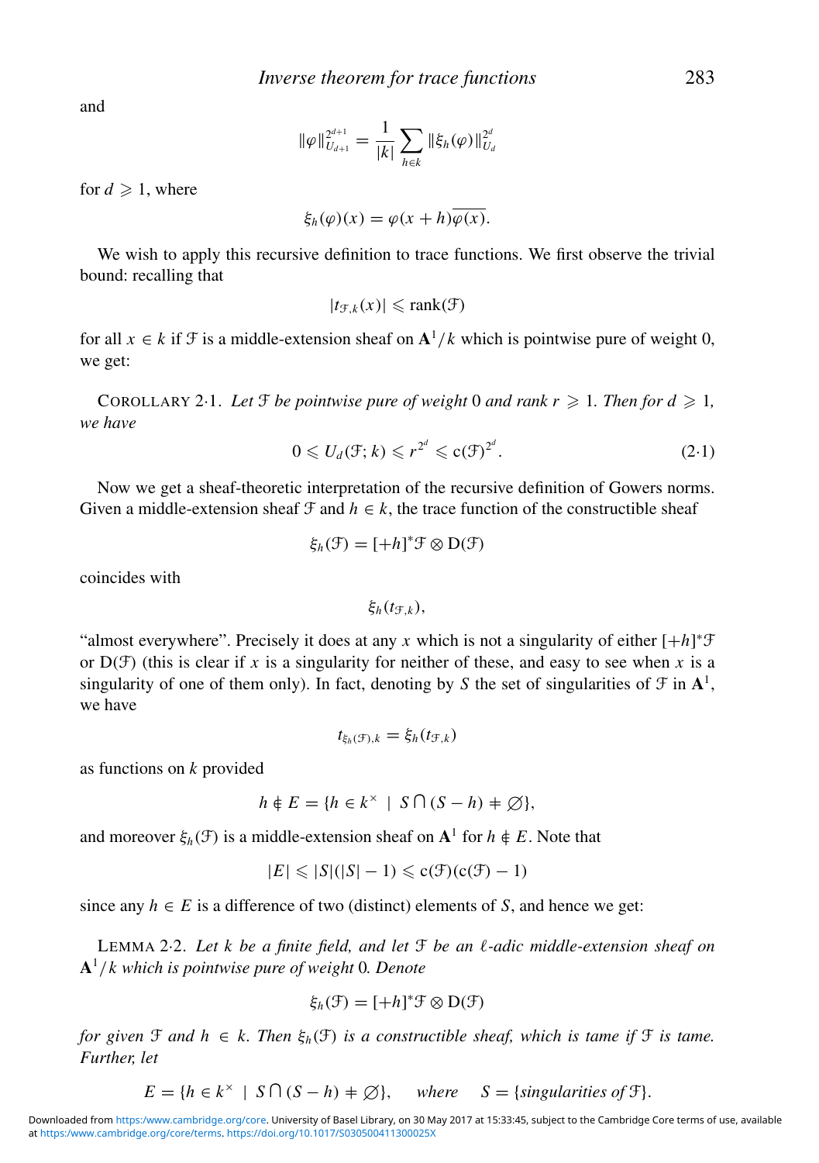and

$$
\|\varphi\|_{U_{d+1}}^{2^{d+1}} = \frac{1}{|k|} \sum_{h \in k} \|\xi_h(\varphi)\|_{U_d}^{2^d}
$$

for  $d \geqslant 1$ , where

$$
\xi_h(\varphi)(x) = \varphi(x+h)\overline{\varphi(x)}.
$$

We wish to apply this recursive definition to trace functions. We first observe the trivial bound: recalling that

$$
|t_{\mathcal{F},k}(x)| \leqslant \text{rank}(\mathcal{F})
$$

for all  $x \in k$  if  $\mathcal F$  is a middle-extension sheaf on  $\mathbf{A}^1/k$  which is pointwise pure of weight 0, we get:

COROLLARY 2.1. Let  $\mathcal{F}$  be pointwise pure of weight 0 and rank  $r \geqslant 1$ . Then for  $d \geqslant 1$ , *we have*

$$
0 \leqslant U_d(\mathfrak{F}; k) \leqslant r^{2^d} \leqslant c(\mathfrak{F})^{2^d}.
$$

Now we get a sheaf-theoretic interpretation of the recursive definition of Gowers norms. Given a middle-extension sheaf  $\mathcal F$  and  $h \in k$ , the trace function of the constructible sheaf

$$
\xi_h(\mathcal{F}) = [+h]^* \mathcal{F} \otimes D(\mathcal{F})
$$

coincides with

ξ $_h(t$ <sub>F,*k*</sub>),

"almost everywhere". Precisely it does at any *x* which is not a singularity of either  $[+h]^* \mathcal{F}$ or  $D(f)$  (this is clear if *x* is a singularity for neither of these, and easy to see when *x* is a singularity of one of them only). In fact, denoting by *S* the set of singularities of  $\mathcal{F}$  in  $\mathbf{A}^1$ , we have

$$
t_{\xi_h(\mathcal{F}),k} = \xi_h(t_{\mathcal{F},k})
$$

as functions on *k* provided

$$
h \notin E = \{ h \in k^{\times} \mid S \cap (S - h) \neq \emptyset \},
$$

and moreover  $\xi_h(\mathcal{F})$  is a middle-extension sheaf on  $\mathbf{A}^1$  for  $h \notin E$ . Note that

$$
|E| \leqslant |S|(|S|-1) \leqslant c(\mathfrak{F})(c(\mathfrak{F})-1)
$$

since any  $h \in E$  is a difference of two (distinct) elements of *S*, and hence we get:

LEMMA 2.2. Let k be a finite field, and let  $\mathfrak F$  be an  $\ell$ -adic middle-extension sheaf on **A**<sup>1</sup>/*k which is pointwise pure of weight* 0*. Denote*

$$
\xi_h(\mathcal{F}) = [+h]^*\mathcal{F} \otimes D(\mathcal{F})
$$

*for given*  $\mathcal F$  *and*  $h \in k$ . Then  $\xi_h(\mathcal F)$  *is a constructible sheaf, which is tame if*  $\mathcal F$  *is tame. Further, let*

 $E = \{h \in k^{\times} \mid S \cap (S - h) \neq \emptyset\}, \text{ where } S = \{\text{singularities of } \mathcal{F}\}.$ 

at [https:/www.cambridge.org/core/terms.](https:/www.cambridge.org/core/terms) <https://doi.org/10.1017/S030500411300025X> Downloaded from <https:/www.cambridge.org/core>. University of Basel Library, on 30 May 2017 at 15:33:45, subject to the Cambridge Core terms of use, available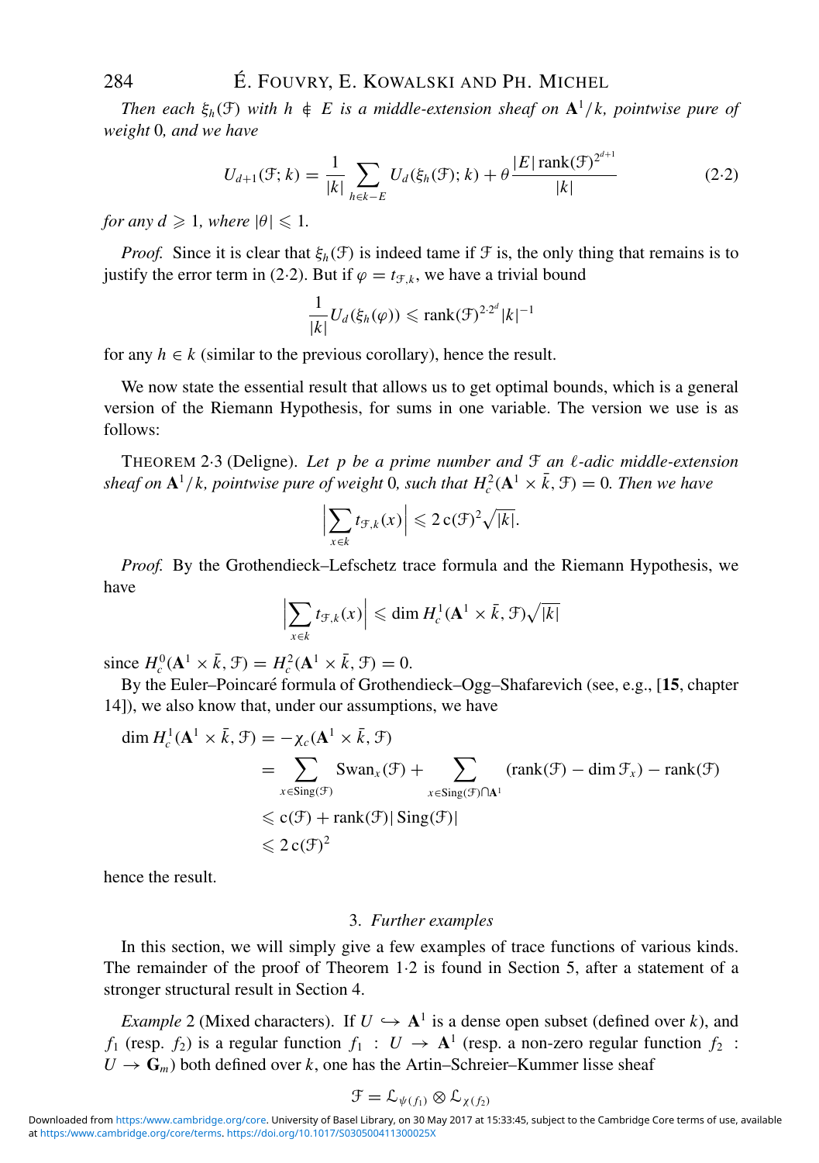*Then each*  $\xi_h(\mathfrak{F})$  *with*  $h \notin E$  *is a middle-extension sheaf on*  $\mathbf{A}^1/k$ *, pointwise pure of weight* 0*, and we have*

$$
U_{d+1}(\mathcal{F};k) = \frac{1}{|k|} \sum_{h \in k - E} U_d(\xi_h(\mathcal{F});k) + \theta \frac{|E| \operatorname{rank}(\mathcal{F})^{2^{d+1}}}{|k|}
$$
(2.2)

*for any*  $d \ge 1$ *, where*  $|\theta| \le 1$ *.* 

*Proof.* Since it is clear that  $\xi_h(\mathcal{F})$  is indeed tame if  $\mathcal{F}$  is, the only thing that remains is to justify the error term in (2·2). But if  $\varphi = t_{\mathcal{F},k}$ , we have a trivial bound

$$
\frac{1}{|k|}U_d(\xi_h(\varphi)) \leqslant \text{rank}(\mathcal{F})^{2\cdot 2^d} |k|^{-1}
$$

for any  $h \in k$  (similar to the previous corollary), hence the result.

We now state the essential result that allows us to get optimal bounds, which is a general version of the Riemann Hypothesis, for sums in one variable. The version we use is as follows:

THEOREM 2.3 (Deligne). Let p be a prime number and  $\mathcal F$  an  $\ell$ -adic middle-extension *sheaf on*  $\mathbf{A}^1/k$ , pointwise pure of weight 0, such that  $H_c^2(\mathbf{A}^1 \times \bar{k}, \mathcal{F}) = 0$ . Then we have

$$
\left|\sum_{x\in k}t_{\mathcal{F},k}(x)\right|\leqslant 2\operatorname{c}(\mathcal{F})^2\sqrt{|k|}.
$$

*Proof.* By the Grothendieck–Lefschetz trace formula and the Riemann Hypothesis, we have

$$
\left|\sum_{x\in k} t_{\mathcal{F},k}(x)\right| \leqslant \dim H_c^1(\mathbf{A}^1 \times \bar{k}, \mathcal{F})\sqrt{|k|}
$$

since  $H_c^0(\mathbf{A}^1 \times \bar{k}, \mathcal{F}) = H_c^2(\mathbf{A}^1 \times \bar{k}, \mathcal{F}) = 0.$ 

By the Euler–Poincaré formula of Grothendieck–Ogg–Shafarevich (see, e.g., [15, chapter 14]), we also know that, under our assumptions, we have

$$
\dim H_c^1(\mathbf{A}^1 \times \bar{k}, \mathcal{F}) = -\chi_c(\mathbf{A}^1 \times \bar{k}, \mathcal{F})
$$
  
= 
$$
\sum_{x \in \text{Sing}(\mathcal{F})} \text{Swan}_x(\mathcal{F}) + \sum_{x \in \text{Sing}(\mathcal{F}) \cap \mathbf{A}^1} (\text{rank}(\mathcal{F}) - \dim \mathcal{F}_x) - \text{rank}(\mathcal{F})
$$
  

$$
\leq c(\mathcal{F}) + \text{rank}(\mathcal{F}) |\text{Sing}(\mathcal{F})|
$$
  

$$
\leq 2 c(\mathcal{F})^2
$$

hence the result.

## 3. *Further examples*

In this section, we will simply give a few examples of trace functions of various kinds. The remainder of the proof of Theorem 1·2 is found in Section 5, after a statement of a stronger structural result in Section 4.

*Example* 2 (Mixed characters). If  $U \hookrightarrow A<sup>1</sup>$  is a dense open subset (defined over *k*), and *f*<sub>1</sub> (resp. *f*<sub>2</sub>) is a regular function *f*<sub>1</sub> :  $U \rightarrow A^1$  (resp. a non-zero regular function *f*<sub>2</sub> :  $U \rightarrow G_m$ ) both defined over *k*, one has the Artin–Schreier–Kummer lisse sheaf

$$
\mathfrak{F} = \mathcal{L}_{\psi(f_1)} \otimes \mathcal{L}_{\chi(f_2)}
$$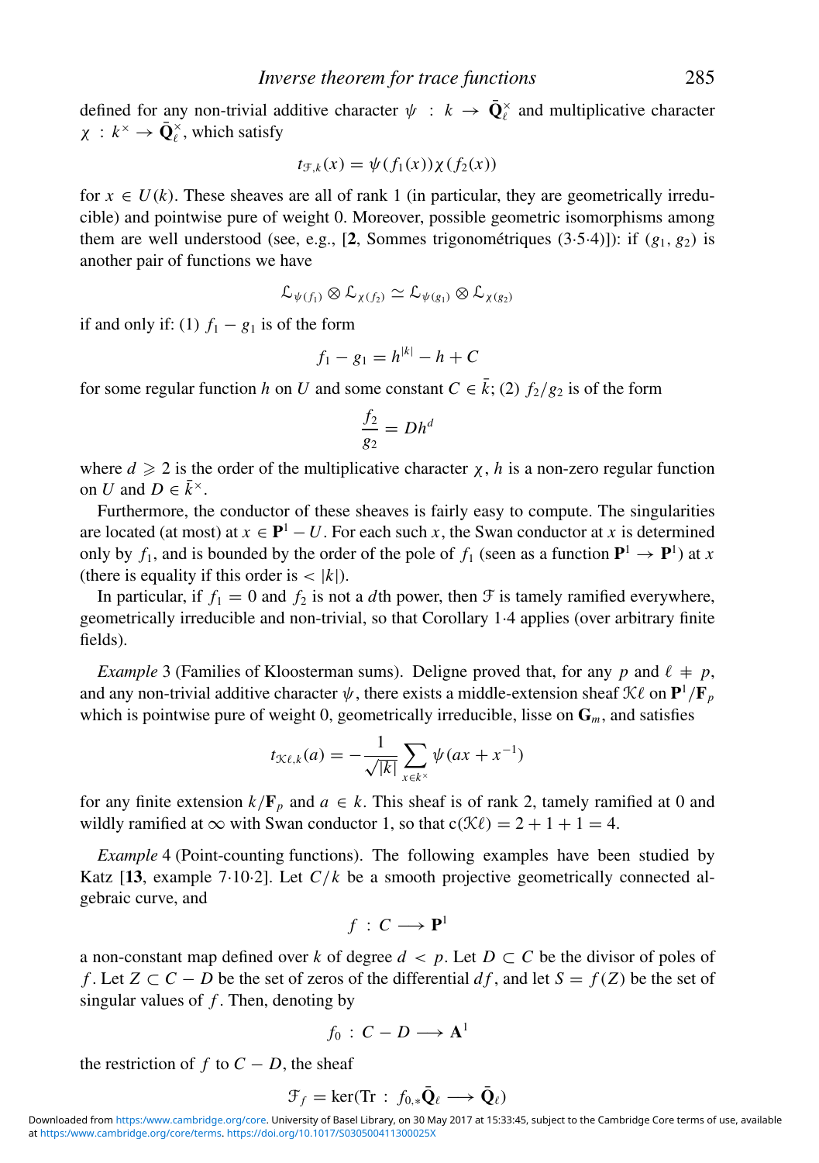defined for any non-trivial additive character  $\psi : k \to \bar{Q}_\ell^\times$  and multiplicative character  $\chi : k^{\times} \to \bar{\mathbf{Q}}_{\ell}^{\times}$ , which satisfy

$$
t_{\mathcal{F},k}(x) = \psi(f_1(x))\chi(f_2(x))
$$

for  $x \in U(k)$ . These sheaves are all of rank 1 (in particular, they are geometrically irreducible) and pointwise pure of weight 0. Moreover, possible geometric isomorphisms among them are well understood (see, e.g., [2, Sommes trigonométriques  $(3.5.4)$ ]): if  $(g_1, g_2)$  is another pair of functions we have

$$
\mathcal{L}_{\psi(f_1)} \otimes \mathcal{L}_{\chi(f_2)} \simeq \mathcal{L}_{\psi(g_1)} \otimes \mathcal{L}_{\chi(g_2)}
$$

if and only if: (1)  $f_1 - g_1$  is of the form

$$
f_1 - g_1 = h^{|k|} - h + C
$$

for some regular function *h* on *U* and some constant  $C \in \bar{k}$ ; (2)  $f_2/g_2$  is of the form

$$
\frac{f_2}{g_2} = Dh^d
$$

where  $d \geq 2$  is the order of the multiplicative character  $\chi$ , *h* is a non-zero regular function on *U* and  $D \in \overline{k}^{\times}$ .

Furthermore, the conductor of these sheaves is fairly easy to compute. The singularities are located (at most) at  $x \in \mathbf{P}^1 - U$ . For each such x, the Swan conductor at x is determined only by  $f_1$ , and is bounded by the order of the pole of  $f_1$  (seen as a function  $\mathbf{P}^1 \to \mathbf{P}^1$ ) at *x* (there is equality if this order is  $\langle |k| \rangle$ .).

In particular, if  $f_1 = 0$  and  $f_2$  is not a *d*th power, then  $\mathcal F$  is tamely ramified everywhere, geometrically irreducible and non-trivial, so that Corollary 1·4 applies (over arbitrary finite fields).

*Example* 3 (Families of Kloosterman sums). Deligne proved that, for any p and  $\ell \neq p$ , and any non-trivial additive character  $\psi$ , there exists a middle-extension sheaf  $\mathcal{K}\ell$  on  $\mathbf{P}^1/\mathbf{F}_p$ which is pointwise pure of weight 0, geometrically irreducible, lisse on **G***m*, and satisfies

$$
t_{\mathcal{K}\ell,k}(a) = -\frac{1}{\sqrt{|k|}} \sum_{x \in k^{\times}} \psi(ax + x^{-1})
$$

for any finite extension  $k/\mathbf{F}_p$  and  $a \in k$ . This sheaf is of rank 2, tamely ramified at 0 and wildly ramified at  $\infty$  with Swan conductor 1, so that  $c(\mathcal{K}\ell) = 2 + 1 + 1 = 4$ .

*Example* 4 (Point-counting functions). The following examples have been studied by Katz [**13**, example 7·10·2]. Let *C*/*k* be a smooth projective geometrically connected algebraic curve, and

$$
f\,:\,C\longrightarrow\mathbf{P}^1
$$

a non-constant map defined over *k* of degree  $d < p$ . Let  $D \subset C$  be the divisor of poles of *f* . Let  $Z \subset C - D$  be the set of zeros of the differential *df*, and let  $S = f(Z)$  be the set of singular values of *f* . Then, denoting by

$$
f_0\,:\,C-D\longrightarrow \mathbf{A}^1
$$

the restriction of  $f$  to  $C - D$ , the sheaf

$$
\mathcal{F}_f = \ker(\mathrm{Tr} : f_{0,*} \bar{\mathbf{Q}}_\ell \longrightarrow \bar{\mathbf{Q}}_\ell)
$$

at [https:/www.cambridge.org/core/terms.](https:/www.cambridge.org/core/terms) <https://doi.org/10.1017/S030500411300025X> Downloaded from <https:/www.cambridge.org/core>. University of Basel Library, on 30 May 2017 at 15:33:45, subject to the Cambridge Core terms of use, available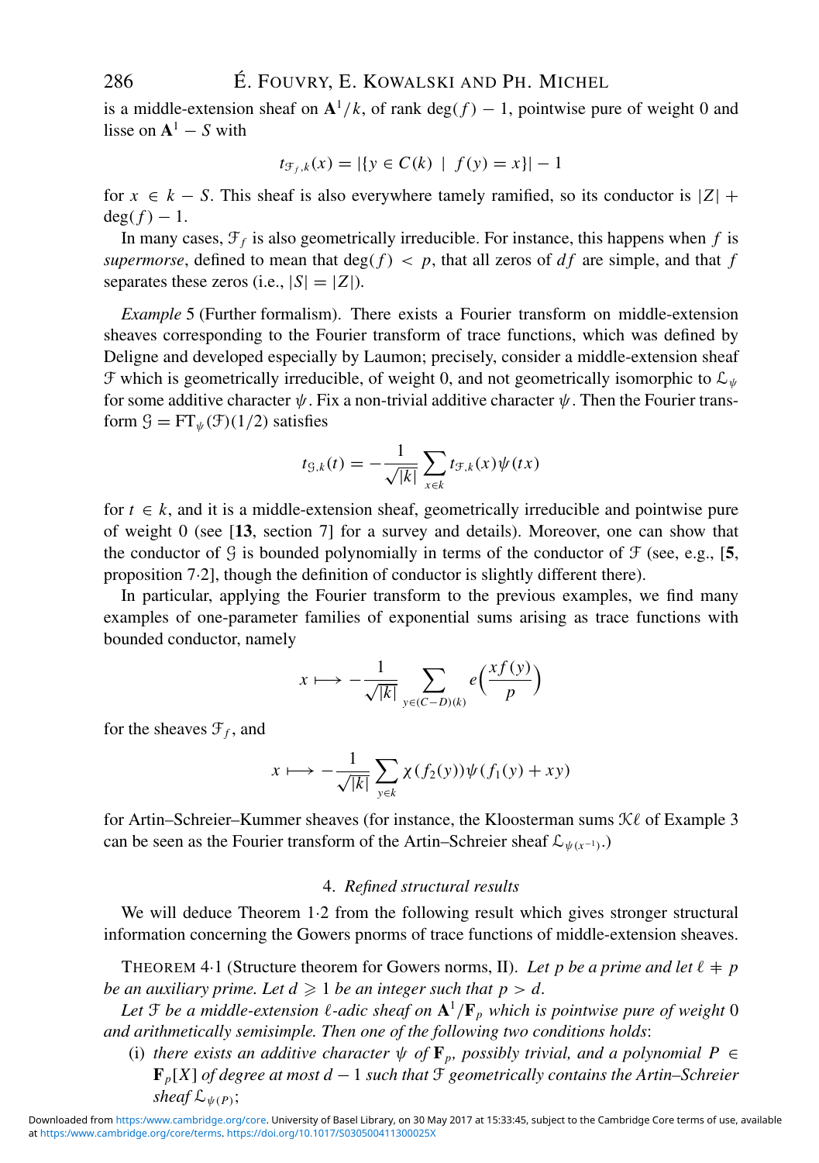is a middle-extension sheaf on  $A^1/k$ , of rank deg( $f$ ) – 1, pointwise pure of weight 0 and lisse on  $A^1 - S$  with

$$
t_{\mathcal{F}_f,k}(x) = |\{ y \in C(k) \mid f(y) = x \}| - 1
$$

for  $x \in k - S$ . This sheaf is also everywhere tamely ramified, so its conductor is  $|Z|$  +  $deg(f) - 1$ .

In many cases,  $\mathcal{F}_f$  is also geometrically irreducible. For instance, this happens when  $f$  is *supermorse*, defined to mean that  $deg(f) < p$ , that all zeros of  $df$  are simple, and that f separates these zeros (i.e.,  $|S|=|Z|$ ).

*Example* 5 (Further formalism). There exists a Fourier transform on middle-extension sheaves corresponding to the Fourier transform of trace functions, which was defined by Deligne and developed especially by Laumon; precisely, consider a middle-extension sheaf  $\mathcal F$  which is geometrically irreducible, of weight 0, and not geometrically isomorphic to  $\mathcal L_{\psi}$ for some additive character  $\psi$ . Fix a non-trivial additive character  $\psi$ . Then the Fourier transform  $\mathcal{G} = FT_{\psi}(\mathcal{F})(1/2)$  satisfies

$$
t_{\mathcal{G},k}(t) = -\frac{1}{\sqrt{|k|}} \sum_{x \in k} t_{\mathcal{F},k}(x) \psi(tx)
$$

for  $t \in k$ , and it is a middle-extension sheaf, geometrically irreducible and pointwise pure of weight 0 (see [**13**, section 7] for a survey and details). Moreover, one can show that the conductor of  $\mathcal{G}$  is bounded polynomially in terms of the conductor of  $\mathcal{F}$  (see, e.g., [5, proposition 7·2], though the definition of conductor is slightly different there).

In particular, applying the Fourier transform to the previous examples, we find many examples of one-parameter families of exponential sums arising as trace functions with bounded conductor, namely

$$
x \longmapsto -\frac{1}{\sqrt{|k|}} \sum_{y \in (C-D)(k)} e\left(\frac{xf(y)}{p}\right)
$$

for the sheaves  $\mathcal{F}_f$ , and

$$
x \longmapsto -\frac{1}{\sqrt{|k|}} \sum_{y \in k} \chi(f_2(y)) \psi(f_1(y) + xy)
$$

for Artin–Schreier–Kummer sheaves (for instance, the Kloosterman sums  $\mathcal{K}\ell$  of Example 3 can be seen as the Fourier transform of the Artin–Schreier sheaf  $\mathcal{L}_{\psi(x^{-1})}$ .)

## 4. *Refined structural results*

We will deduce Theorem 1·2 from the following result which gives stronger structural information concerning the Gowers pnorms of trace functions of middle-extension sheaves.

THEOREM 4.1 (Structure theorem for Gowers norms, II). Let p be a prime and let  $\ell + p$ *be an auxiliary prime. Let*  $d \geqslant 1$  *be an integer such that*  $p > d$ *.* 

Let  $\mathfrak F$  be a middle-extension  $\ell$ -adic sheaf on  $\mathbf A^1/\mathbf F_p$  which is pointwise pure of weight  $0$ *and arithmetically semisimple. Then one of the following two conditions holds*:

(i) *there exists an additive character*  $\psi$  *of*  $\mathbf{F}_p$ *, possibly trivial, and a polynomial*  $P \in$ **F***p*[*X*] *of degree at most d* − 1 *such that* F *geometrically contains the Artin–Schreier sheaf*  $\mathcal{L}_{\psi(P)}$ ;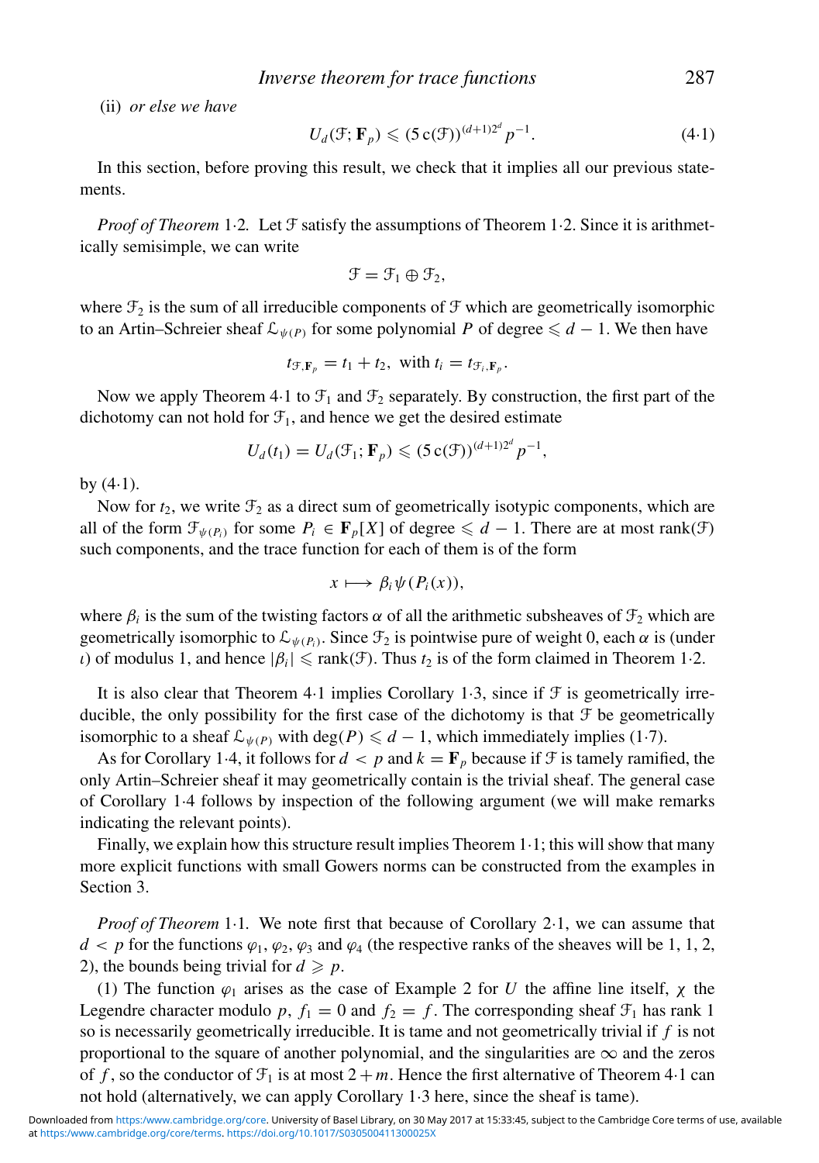(ii) *or else we have*

$$
U_d(\mathcal{F}; \mathbf{F}_p) \leqslant (5 \operatorname{c}(\mathcal{F}))^{(d+1)2^d} p^{-1}.
$$
 (4.1)

In this section, before proving this result, we check that it implies all our previous statements.

*Proof of Theorem* 1.2. Let  $\mathcal F$  satisfy the assumptions of Theorem 1.2. Since it is arithmetically semisimple, we can write

$$
\mathcal{F} = \mathcal{F}_1 \oplus \mathcal{F}_2,
$$

where  $\mathcal{F}_2$  is the sum of all irreducible components of  $\mathcal F$  which are geometrically isomorphic to an Artin–Schreier sheaf  $\mathcal{L}_{\psi(P)}$  for some polynomial *P* of degree  $\leq d-1$ . We then have

$$
t_{\mathcal{F},\mathbf{F}_p}=t_1+t_2, \text{ with } t_i=t_{\mathcal{F}_i,\mathbf{F}_p}.
$$

Now we apply Theorem 4.1 to  $\mathcal{F}_1$  and  $\mathcal{F}_2$  separately. By construction, the first part of the dichotomy can not hold for  $\mathcal{F}_1$ , and hence we get the desired estimate

$$
U_d(t_1)=U_d(\mathcal{F}_1;\mathbf{F}_p)\leqslant (5\,\mathrm{c}(\mathcal{F}))^{(d+1)2^d}p^{-1},
$$

by  $(4.1)$ .

Now for  $t_2$ , we write  $\mathcal{F}_2$  as a direct sum of geometrically isotypic components, which are all of the form  $\mathcal{F}_{\psi(P_i)}$  for some  $P_i \in \mathbf{F}_p[X]$  of degree  $\leq d-1$ . There are at most rank( $\mathcal{F}$ ) such components, and the trace function for each of them is of the form

$$
x\longmapsto \beta_i\psi(P_i(x)),
$$

where  $\beta_i$  is the sum of the twisting factors  $\alpha$  of all the arithmetic subsheaves of  $\mathcal{F}_2$  which are geometrically isomorphic to  $\mathcal{L}_{\psi(P_i)}$ . Since  $\mathcal{F}_2$  is pointwise pure of weight 0, each  $\alpha$  is (under *ι*) of modulus 1, and hence  $|β<sub>i</sub>| ≤ rank(∃)$ . Thus *t*<sub>2</sub> is of the form claimed in Theorem 1·2.

It is also clear that Theorem 4.1 implies Corollary 1.3, since if  $\mathcal F$  is geometrically irreducible, the only possibility for the first case of the dichotomy is that  $\mathcal F$  be geometrically isomorphic to a sheaf  $\mathcal{L}_{\psi(P)}$  with deg(*P*)  $\leq d-1$ , which immediately implies (1·7).

As for Corollary 1.4, it follows for  $d < p$  and  $k = \mathbf{F}_p$  because if  $\mathcal F$  is tamely ramified, the only Artin–Schreier sheaf it may geometrically contain is the trivial sheaf. The general case of Corollary 1·4 follows by inspection of the following argument (we will make remarks indicating the relevant points).

Finally, we explain how this structure result implies Theorem 1·1; this will show that many more explicit functions with small Gowers norms can be constructed from the examples in Section 3.

*Proof of Theorem* 1.1. We note first that because of Corollary 2.1, we can assume that  $d < p$  for the functions  $\varphi_1, \varphi_2, \varphi_3$  and  $\varphi_4$  (the respective ranks of the sheaves will be 1, 1, 2, 2), the bounds being trivial for  $d \geq p$ .

(1) The function  $\varphi_1$  arises as the case of Example 2 for *U* the affine line itself,  $\chi$  the Legendre character modulo p,  $f_1 = 0$  and  $f_2 = f$ . The corresponding sheaf  $\mathcal{F}_1$  has rank 1 so is necessarily geometrically irreducible. It is tame and not geometrically trivial if *f* is not proportional to the square of another polynomial, and the singularities are  $\infty$  and the zeros of f, so the conductor of  $\mathcal{F}_1$  is at most  $2 + m$ . Hence the first alternative of Theorem 4·1 can not hold (alternatively, we can apply Corollary 1·3 here, since the sheaf is tame).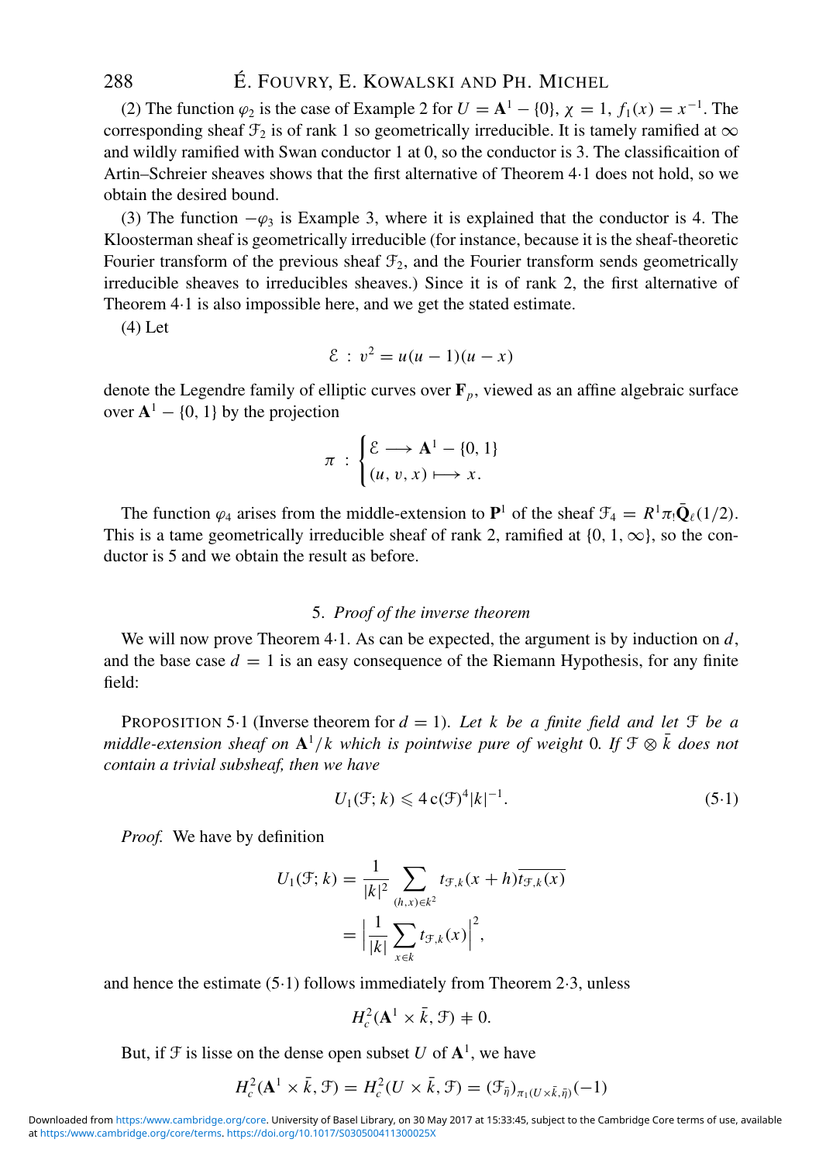(2) The function  $\varphi_2$  is the case of Example 2 for  $U = A^1 - \{0\}$ ,  $\chi = 1$ ,  $f_1(x) = x^{-1}$ . The corresponding sheaf  $\mathcal{F}_2$  is of rank 1 so geometrically irreducible. It is tamely ramified at  $\infty$ and wildly ramified with Swan conductor 1 at 0, so the conductor is 3. The classificaition of Artin–Schreier sheaves shows that the first alternative of Theorem 4·1 does not hold, so we obtain the desired bound.

(3) The function  $-\varphi_3$  is Example 3, where it is explained that the conductor is 4. The Kloosterman sheaf is geometrically irreducible (for instance, because it is the sheaf-theoretic Fourier transform of the previous sheaf  $\mathcal{F}_2$ , and the Fourier transform sends geometrically irreducible sheaves to irreducibles sheaves.) Since it is of rank 2, the first alternative of Theorem 4·1 is also impossible here, and we get the stated estimate.

(4) Let

$$
\mathcal{E}: v^2 = u(u-1)(u-x)
$$

denote the Legendre family of elliptic curves over **F***p*, viewed as an affine algebraic surface over  $A^1 - \{0, 1\}$  by the projection

$$
\pi \, : \, \begin{cases} \mathcal{E} \longrightarrow \mathbf{A}^1 - \{0, 1\} \\ (u, v, x) \longmapsto x. \end{cases}
$$

The function  $\varphi_4$  arises from the middle-extension to  $\mathbf{P}^1$  of the sheaf  $\mathcal{F}_4 = R^1 \pi_! \bar{\mathbf{Q}}_\ell(1/2)$ . This is a tame geometrically irreducible sheaf of rank 2, ramified at  $\{0, 1, \infty\}$ , so the conductor is 5 and we obtain the result as before.

#### 5. *Proof of the inverse theorem*

We will now prove Theorem 4·1. As can be expected, the argument is by induction on *d*, and the base case  $d = 1$  is an easy consequence of the Riemann Hypothesis, for any finite field:

PROPOSITION 5.1 (Inverse theorem for  $d = 1$ ). Let k be a finite field and let  $\mathfrak F$  be a *middle-extension sheaf on*  $\mathbf{A}^1/k$  which is pointwise pure of weight 0*. If*  $\mathcal{F} \otimes \overline{k}$  does not *contain a trivial subsheaf, then we have*

$$
U_1(\mathcal{F}; k) \leqslant 4 \mathbf{c}(\mathcal{F})^4 |k|^{-1}.
$$
\n
$$
(5.1)
$$

*Proof.* We have by definition

$$
U_1(\mathcal{F}; k) = \frac{1}{|k|^2} \sum_{(h,x)\in k^2} t_{\mathcal{F},k}(x+h) \overline{t_{\mathcal{F},k}(x)}
$$

$$
= \left| \frac{1}{|k|} \sum_{x\in k} t_{\mathcal{F},k}(x) \right|^2,
$$

and hence the estimate (5·1) follows immediately from Theorem 2·3, unless

$$
H_c^2(\mathbf{A}^1 \times \bar{k}, \mathcal{F}) + 0.
$$

But, if  $\mathcal{F}$  is lisse on the dense open subset *U* of  $\mathbf{A}^1$ , we have

$$
H_c^2(\mathbf{A}^1 \times \bar{k}, \mathcal{F}) = H_c^2(U \times \bar{k}, \mathcal{F}) = (\mathcal{F}_{\bar{\eta}})_{\pi_1(U \times \bar{k}, \bar{\eta})}(-1)
$$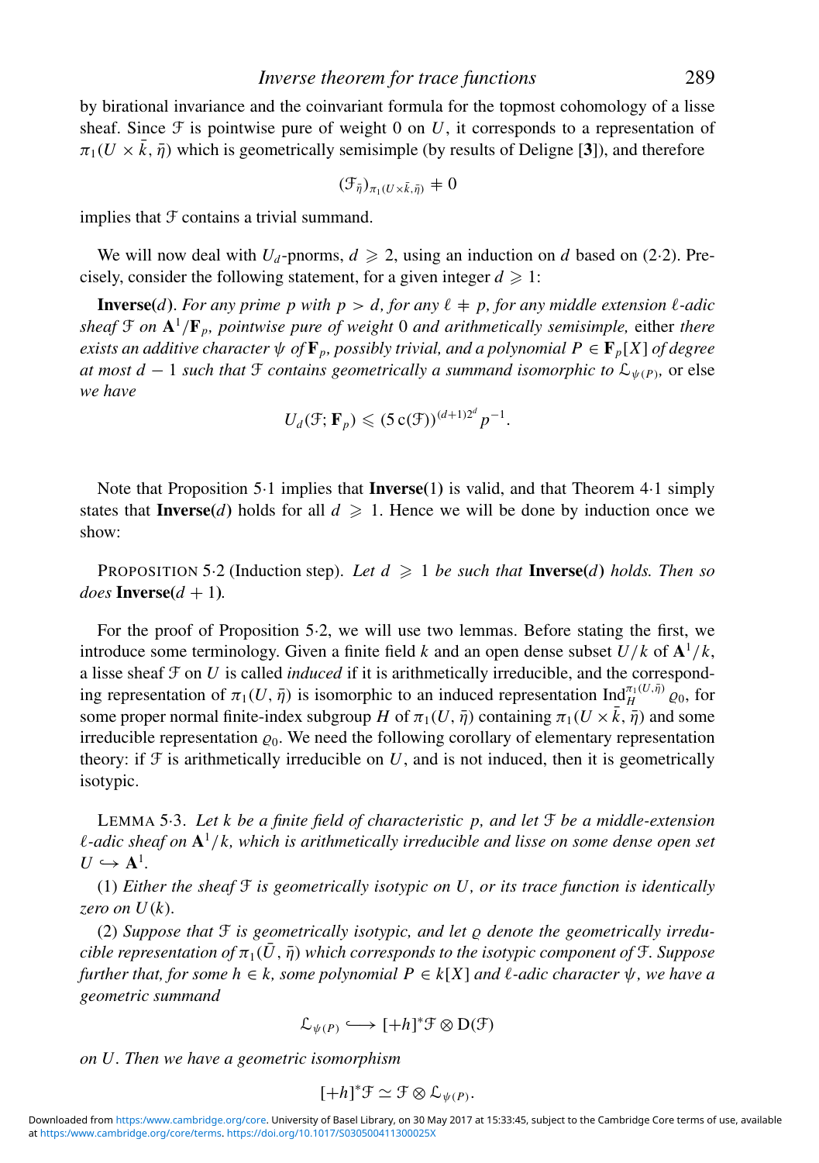by birational invariance and the coinvariant formula for the topmost cohomology of a lisse sheaf. Since  $\mathcal F$  is pointwise pure of weight 0 on U, it corresponds to a representation of  $\pi_1(U \times \bar{k}, \bar{\eta})$  which is geometrically semisimple (by results of Deligne [3]), and therefore

$$
(\mathcal{F}_{\bar{\eta}})_{\pi_1(U \times \bar{k}, \bar{\eta})} \neq 0
$$

implies that  $F$  contains a trivial summand.

We will now deal with  $U_d$ -pnorms,  $d \ge 2$ , using an induction on *d* based on (2·2). Precisely, consider the following statement, for a given integer  $d \geq 1$ :

**Inverse**(*d*). For any prime p with  $p > d$ , for any  $\ell \neq p$ , for any middle extension  $\ell$ -adic *sheaf*  $\mathcal{F}$  *on*  $\mathbf{A}^1/\mathbf{F}_p$ *, pointwise pure of weight* 0 *and arithmetically semisimple, either there exists an additive character*  $\psi$  *of*  $\mathbf{F}_p$ *, possibly trivial, and a polynomial*  $P \in \mathbf{F}_p[X]$  *of degree at most d* − 1 *such that*  $\mathcal F$  *contains geometrically a summand isomorphic to*  $\mathcal L_{\psi(P)}$ , or else *we have*

$$
U_d(\mathcal{F}; \mathbf{F}_p) \leqslant (5\,\mathrm{c}(\mathcal{F}))^{(d+1)2^d} p^{-1}.
$$

Note that Proposition 5·1 implies that **Inverse(**1**)** is valid, and that Theorem 4·1 simply states that **Inverse**(*d*) holds for all  $d \ge 1$ . Hence we will be done by induction once we show:

PROPOSITION 5.2 (Induction step). Let  $d \geq 1$  be such that **Inverse** $(d)$  holds. Then so  $does$  **Inverse** $(d + 1)$ *.* 

For the proof of Proposition 5·2, we will use two lemmas. Before stating the first, we introduce some terminology. Given a finite field *k* and an open dense subset  $U/k$  of  $\mathbf{A}^1/k$ , a lisse sheaf  $\mathcal F$  on  $U$  is called *induced* if it is arithmetically irreducible, and the corresponding representation of  $\pi_1(U, \bar{\eta})$  is isomorphic to an induced representation  $\text{Ind}_{H}^{\pi_1(U, \bar{\eta})} \varrho_0$ , for some proper normal finite-index subgroup *H* of  $\pi_1(U, \bar{\eta})$  containing  $\pi_1(U \times \bar{k}, \bar{\eta})$  and some irreducible representation  $\varrho_0$ . We need the following corollary of elementary representation theory: if  $\mathcal F$  is arithmetically irreducible on  $U$ , and is not induced, then it is geometrically isotypic.

LEMMA 5·3. *Let k be a finite field of characteristic p, and let* F *be a middle-extension* -*-adic sheaf on* **A**<sup>1</sup>/*k, which is arithmetically irreducible and lisse on some dense open set*  $U \hookrightarrow \mathbf{A}^1$ .

(1) *Either the sheaf* F *is geometrically isotypic on U, or its trace function is identically zero on U*(*k*)*.*

(2) Suppose that  $\mathcal F$  is geometrically isotypic, and let  $\rho$  denote the geometrically irredu*cible representation of*  $\pi_1(\bar{U}, \bar{\eta})$  *which corresponds to the isotypic component of*  $\mathcal{F}$ *. Suppose*  $further that, for some  $h \in k$ , some polynomial  $P \in k[X]$  and  $\ell$ -adic character  $\psi$ , we have a$ *geometric summand*

$$
\mathcal{L}_{\psi(P)} \longleftrightarrow [+h]^*\mathcal{F} \otimes D(\mathcal{F})
$$

*on U. Then we have a geometric isomorphism*

$$
[+h]^*\mathcal{F} \simeq \mathcal{F} \otimes \mathcal{L}_{\psi(P)}.
$$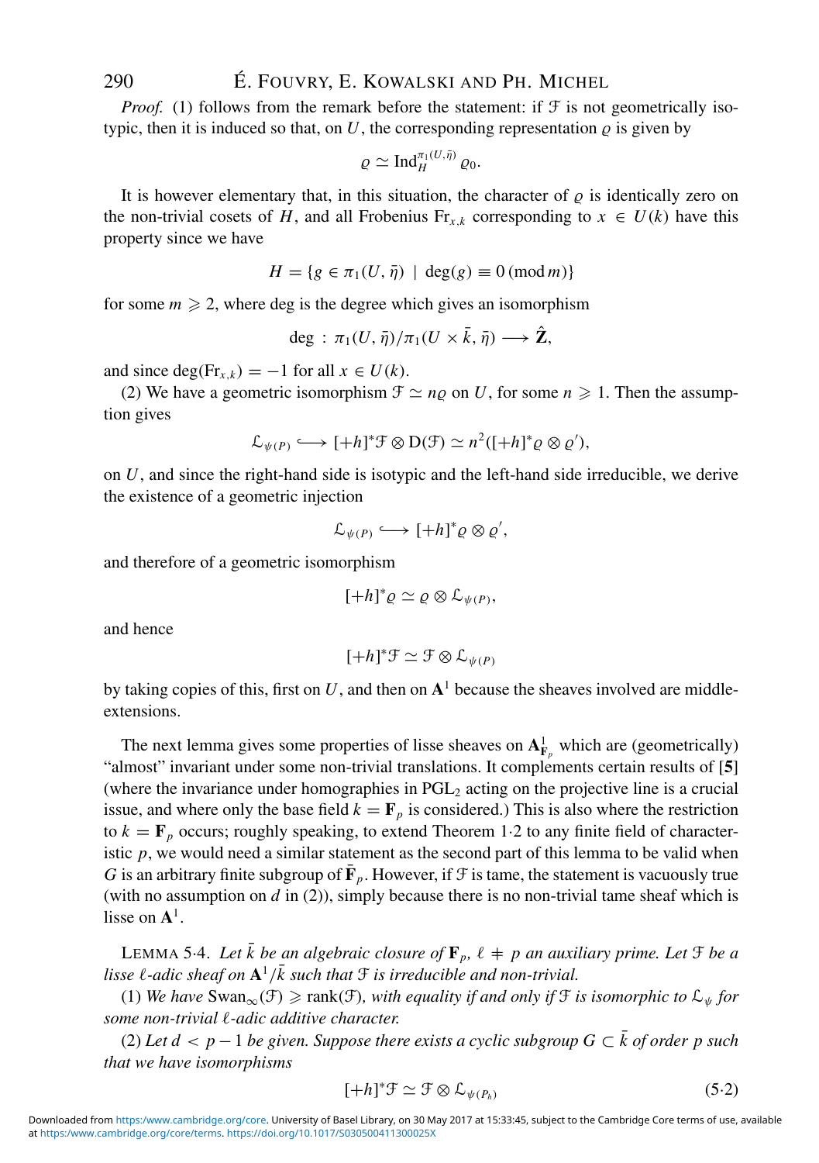*Proof.* (1) follows from the remark before the statement: if  $\mathcal F$  is not geometrically isotypic, then it is induced so that, on  $U$ , the corresponding representation  $\varrho$  is given by

$$
\varrho \simeq \mathrm{Ind}_H^{\pi_1(U,\bar{\eta})} \varrho_0.
$$

It is however elementary that, in this situation, the character of  $\rho$  is identically zero on the non-trivial cosets of *H*, and all Frobenius Fr<sub>*x*,*k*</sub> corresponding to  $x \in U(k)$  have this property since we have

$$
H = \{ g \in \pi_1(U, \bar{\eta}) \mid \deg(g) \equiv 0 \pmod{m} \}
$$

for some  $m \geq 2$ , where deg is the degree which gives an isomorphism

$$
\deg\,:\, \pi_1(U,\bar{\eta})/\pi_1(U\times\bar{k},\bar{\eta})\longrightarrow \hat{\mathbf{Z}},
$$

and since deg(Fr<sub>*x*,*k*</sub>) = −1 for all  $x \in U(k)$ .

(2) We have a geometric isomorphism  $\mathcal{F} \simeq n\varrho$  on *U*, for some  $n \geq 1$ . Then the assumption gives

$$
\mathcal{L}_{\psi(P)} \longleftrightarrow [+h]^* \mathcal{F} \otimes D(\mathcal{F}) \simeq n^2([+h]^* \varrho \otimes \varrho'),
$$

on *U*, and since the right-hand side is isotypic and the left-hand side irreducible, we derive the existence of a geometric injection

$$
\mathcal{L}_{\psi(P)} \longleftrightarrow [+h]^* \varrho \otimes \varrho',
$$

and therefore of a geometric isomorphism

$$
[+h]^*\varrho\simeq\varrho\otimes\mathcal{L}_{\psi(P)},
$$

and hence

$$
[+h]^*\mathcal{F} \simeq \mathcal{F} \otimes \mathcal{L}_{\psi(P)}
$$

by taking copies of this, first on  $U$ , and then on  $A<sup>1</sup>$  because the sheaves involved are middleextensions.

The next lemma gives some properties of lisse sheaves on  $A_{F_p}^1$  which are (geometrically) "almost" invariant under some non-trivial translations. It complements certain results of [**5**] (where the invariance under homographies in  $PGL<sub>2</sub>$  acting on the projective line is a crucial issue, and where only the base field  $k = \mathbf{F}_p$  is considered.) This is also where the restriction to  $k = \mathbf{F}_p$  occurs; roughly speaking, to extend Theorem 1.2 to any finite field of characteristic  $p$ , we would need a similar statement as the second part of this lemma to be valid when *G* is an arbitrary finite subgroup of  $\bar{\mathbf{F}}_p$ . However, if  $\mathcal{F}$  is tame, the statement is vacuously true (with no assumption on  $d$  in (2)), simply because there is no non-trivial tame sheaf which is lisse on **A**1.

LEMMA 5-4. Let  $\bar{k}$  be an algebraic closure of  $\mathbf{F}_p$ ,  $\ell + p$  an auxiliary prime. Let  $\mathfrak{F}$  be a lisse  $\ell$ -adic sheaf on  $A^1/\bar{k}$  such that  $\mathfrak F$  is irreducible and non-trivial.

(1) We have Swan<sub>∞</sub>(F) ≥ rank(F), with equality if and only if F is isomorphic to  $\mathcal{L}_{\psi}$  for some non-trivial  $\ell$ -adic additive character.

(2) Let  $d < p-1$  be given. Suppose there exists a cyclic subgroup  $G ⊂ \overline{k}$  of order p such *that we have isomorphisms*

$$
[+h]^*\mathcal{F} \simeq \mathcal{F} \otimes \mathcal{L}_{\psi(P_h)} \tag{5.2}
$$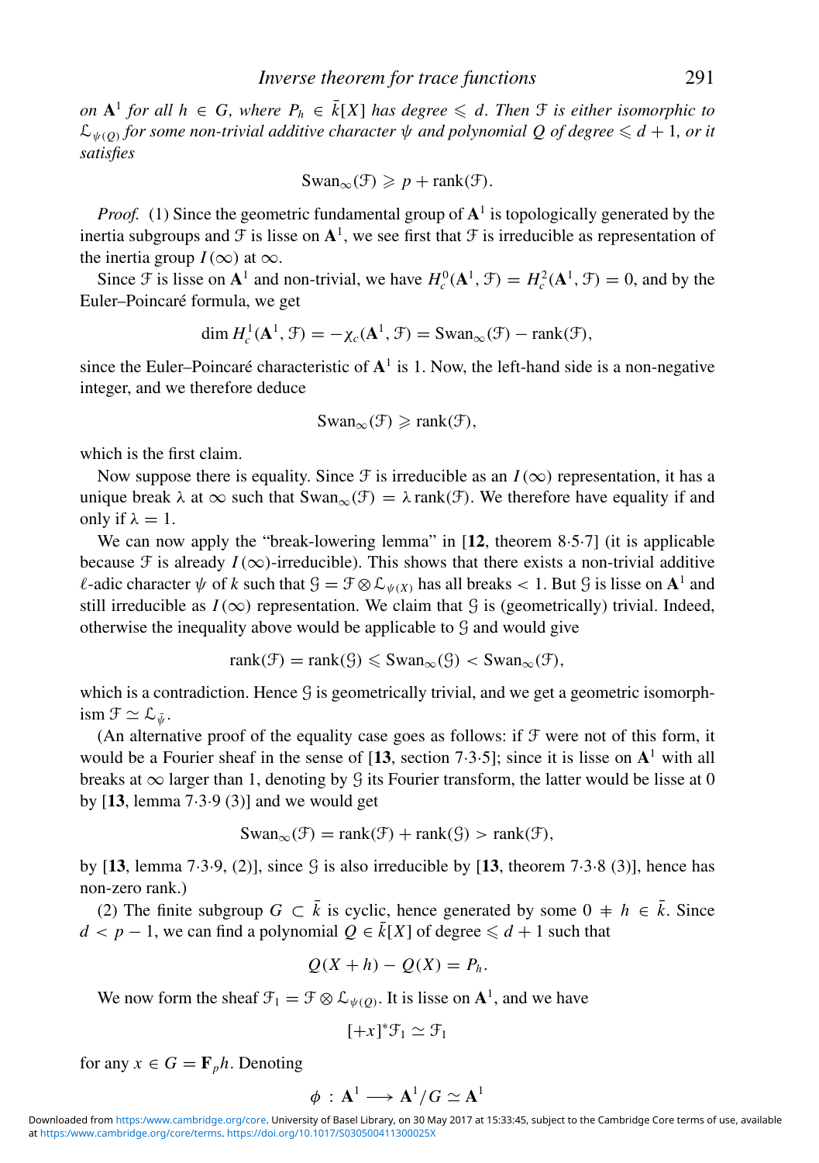*on* **A**<sup>1</sup> *for all h* ∈ *G*, where  $P_h$  ∈  $\overline{k}[X]$  *has degree* ≤ *d. Then*  $\overline{F}$  *is either isomorphic to*  $\mathcal{L}_{\psi(0)}$  *for some non-trivial additive character*  $\psi$  *and polynomial Q of degree*  $\leq d + 1$ *, or it satisfies*

$$
\mathrm{Swan}_{\infty}(\mathcal{F}) \geqslant p + \mathrm{rank}(\mathcal{F}).
$$

*Proof.* (1) Since the geometric fundamental group of  $A<sup>1</sup>$  is topologically generated by the inertia subgroups and  $\mathcal F$  is lisse on  $\mathbf A^1$ , we see first that  $\mathcal F$  is irreducible as representation of the inertia group  $I(\infty)$  at  $\infty$ .

Since  $\mathcal{F}$  is lisse on  $\mathbf{A}^1$  and non-trivial, we have  $H_c^0(\mathbf{A}^1, \mathcal{F}) = H_c^2(\mathbf{A}^1, \mathcal{F}) = 0$ , and by the Euler–Poincaré formula, we get

$$
\dim H_c^1(\mathbf{A}^1, \mathcal{F}) = -\chi_c(\mathbf{A}^1, \mathcal{F}) = \mathrm{Swan}_{\infty}(\mathcal{F}) - \mathrm{rank}(\mathcal{F}),
$$

since the Euler–Poincaré characteristic of  $A<sup>1</sup>$  is 1. Now, the left-hand side is a non-negative integer, and we therefore deduce

$$
Swan_{\infty}(\mathcal{F}) \geqslant \text{rank}(\mathcal{F}),
$$

which is the first claim.

Now suppose there is equality. Since  $\mathcal F$  is irreducible as an  $I(\infty)$  representation, it has a unique break  $\lambda$  at  $\infty$  such that  $\text{Swan}_{\infty}(\mathcal{F}) = \lambda \text{rank}(\mathcal{F})$ . We therefore have equality if and only if  $\lambda = 1$ .

We can now apply the "break-lowering lemma" in [**12**, theorem 8·5·7] (it is applicable because  $\mathcal F$  is already  $I(\infty)$ -irreducible). This shows that there exists a non-trivial additive *l*-adic character  $\psi$  of *k* such that  $\mathcal{G} = \mathcal{F} \otimes \mathcal{L}_{\psi(X)}$  has all breaks < 1. But  $\mathcal{G}$  is lisse on  $\mathbf{A}^1$  and still irreducible as  $I(\infty)$  representation. We claim that  $\mathcal G$  is (geometrically) trivial. Indeed, otherwise the inequality above would be applicable to G and would give

$$
rank(\mathcal{F}) = rank(\mathcal{G}) \leqslant Swan_{\infty}(\mathcal{G}) < Swan_{\infty}(\mathcal{F}),
$$

which is a contradiction. Hence  $G$  is geometrically trivial, and we get a geometric isomorphism  $\mathfrak{F} \simeq \mathfrak{L}_{\bar{w}}$ .

(An alternative proof of the equality case goes as follows: if  $\mathcal F$  were not of this form, it would be a Fourier sheaf in the sense of  $[13, \text{ section } 7 \cdot 3 \cdot 5]$ ; since it is lisse on  $\mathbf{A}^1$  with all breaks at  $\infty$  larger than 1, denoting by G its Fourier transform, the latter would be lisse at 0 by [**13**, lemma 7·3·9 (3)] and we would get

$$
Swan_{\infty}(\mathcal{F}) = rank(\mathcal{F}) + rank(\mathcal{G}) > rank(\mathcal{F}),
$$

by  $[13, \text{lemma } 7 \cdot 3 \cdot 9, (2)]$ , since  $\Im$  is also irreducible by  $[13, \text{theorem } 7 \cdot 3 \cdot 8, (3)]$ , hence has non-zero rank.)

(2) The finite subgroup *G* ⊂  $\bar{k}$  is cyclic, hence generated by some 0  $\pm h \in \bar{k}$ . Since  $d < p - 1$ , we can find a polynomial  $Q \in \overline{k}[X]$  of degree  $\leq d + 1$  such that

$$
Q(X+h) - Q(X) = P_h.
$$

We now form the sheaf  $\mathcal{F}_1 = \mathcal{F} \otimes \mathcal{L}_{\psi(O)}$ . It is lisse on  $\mathbf{A}^1$ , and we have

$$
[+x]^*\mathcal{F}_1 \simeq \mathcal{F}_1
$$

for any  $x \in G = \mathbf{F}_p h$ . Denoting

$$
\phi\,:\,\mathbf{A}^1 \longrightarrow \mathbf{A}^1/G \simeq \mathbf{A}^1
$$

at [https:/www.cambridge.org/core/terms.](https:/www.cambridge.org/core/terms) <https://doi.org/10.1017/S030500411300025X> Downloaded from <https:/www.cambridge.org/core>. University of Basel Library, on 30 May 2017 at 15:33:45, subject to the Cambridge Core terms of use, available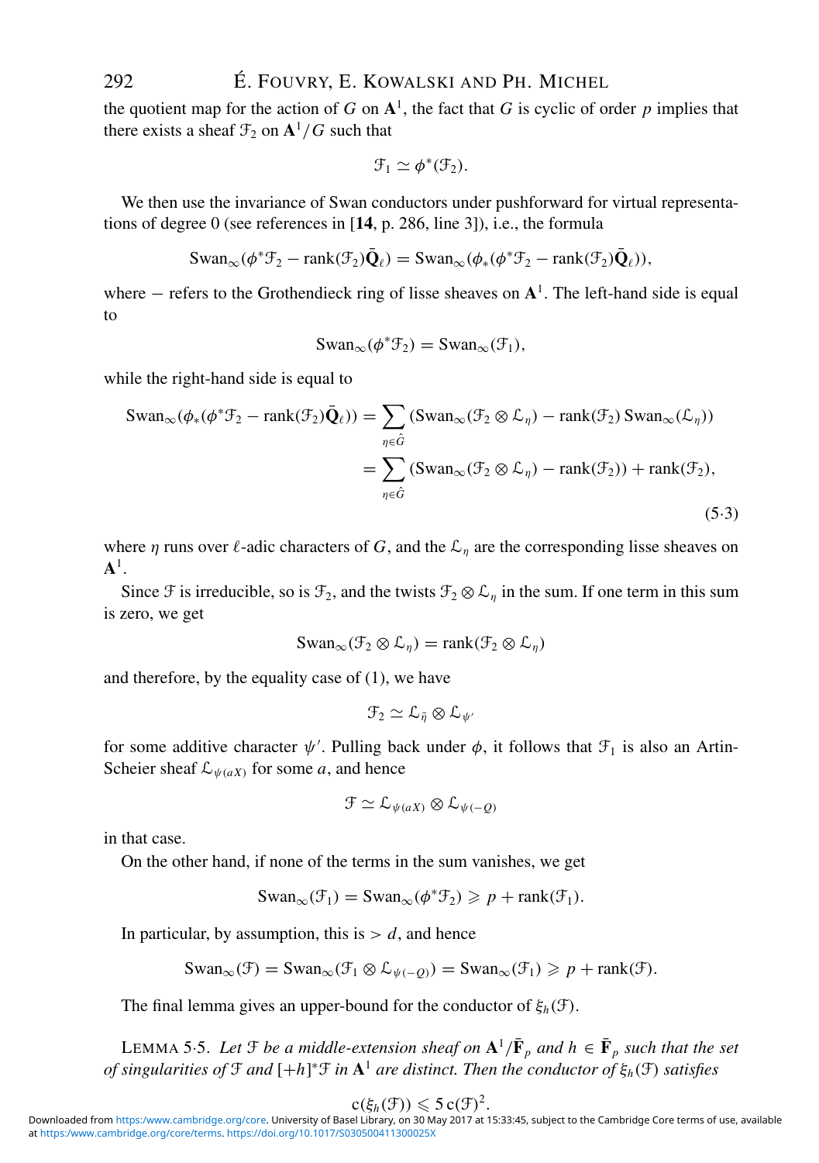the quotient map for the action of *G* on  $A<sup>1</sup>$ , the fact that *G* is cyclic of order *p* implies that there exists a sheaf  $\mathcal{F}_2$  on  $\mathbf{A}^1/G$  such that

$$
\mathcal{F}_1 \simeq \phi^*(\mathcal{F}_2).
$$

We then use the invariance of Swan conductors under pushforward for virtual representations of degree 0 (see references in [**14**, p. 286, line 3]), i.e., the formula

$$
\text{Swan}_{\infty}(\phi^*\mathcal{F}_2 - \text{rank}(\mathcal{F}_2)\bar{\mathbf{Q}}_\ell) = \text{Swan}_{\infty}(\phi_*(\phi^*\mathcal{F}_2 - \text{rank}(\mathcal{F}_2)\bar{\mathbf{Q}}_\ell)),
$$

where − refers to the Grothendieck ring of lisse sheaves on **A**1. The left-hand side is equal to

$$
Swan_{\infty}(\phi^* \mathcal{F}_2) = Swan_{\infty}(\mathcal{F}_1),
$$

while the right-hand side is equal to

$$
\text{Swan}_{\infty}(\phi_*(\phi^*\mathcal{F}_2 - \text{rank}(\mathcal{F}_2)\bar{\mathbf{Q}}_\ell)) = \sum_{\eta \in \hat{G}} (\text{Swan}_{\infty}(\mathcal{F}_2 \otimes \mathcal{L}_\eta) - \text{rank}(\mathcal{F}_2) \text{Swan}_{\infty}(\mathcal{L}_\eta))
$$

$$
= \sum_{\eta \in \hat{G}} (\text{Swan}_{\infty}(\mathcal{F}_2 \otimes \mathcal{L}_\eta) - \text{rank}(\mathcal{F}_2)) + \text{rank}(\mathcal{F}_2),
$$
(5.3)

where  $\eta$  runs over  $\ell$ -adic characters of G, and the  $\mathcal{L}_{\eta}$  are the corresponding lisse sheaves on **A**1.

Since F is irreducible, so is  $\mathcal{F}_2$ , and the twists  $\mathcal{F}_2 \otimes \mathcal{L}_n$  in the sum. If one term in this sum is zero, we get

$$
\mathrm{Swan}_{\infty}(\mathcal{F}_2 \otimes \mathcal{L}_\eta) = \mathrm{rank}(\mathcal{F}_2 \otimes \mathcal{L}_\eta)
$$

and therefore, by the equality case of (1), we have

$$
\mathcal{F}_2 \simeq \mathcal{L}_{\bar{\eta}} \otimes \mathcal{L}_{\psi'}
$$

for some additive character  $\psi'$ . Pulling back under  $\phi$ , it follows that  $\mathcal{F}_1$  is also an Artin-Scheier sheaf  $\mathcal{L}_{\psi(aX)}$  for some *a*, and hence

$$
\mathcal{F} \simeq \mathcal{L}_{\psi(aX)} \otimes \mathcal{L}_{\psi(-Q)}
$$

in that case.

On the other hand, if none of the terms in the sum vanishes, we get

$$
\text{Swan}_{\infty}(\mathcal{F}_1) = \text{Swan}_{\infty}(\phi^* \mathcal{F}_2) \geqslant p + \text{rank}(\mathcal{F}_1).
$$

In particular, by assumption, this is  $> d$ , and hence

$$
\mathrm{Swan}_{\infty}(\mathcal{F}) = \mathrm{Swan}_{\infty}(\mathcal{F}_1 \otimes \mathcal{L}_{\psi(-Q)}) = \mathrm{Swan}_{\infty}(\mathcal{F}_1) \geqslant p + \mathrm{rank}(\mathcal{F}).
$$

The final lemma gives an upper-bound for the conductor of  $\xi_h(\mathcal{F})$ .

LEMMA 5.5. Let  $\mathcal{F}$  *be a middle-extension sheaf on*  $\mathbf{A}^1/\bar{\mathbf{F}}_p$  *and*  $h \in \bar{\mathbf{F}}_p$  *such that the set of singularities of* F *and* [+*h*] <sup>∗</sup>F *in* **A**<sup>1</sup> *are distinct. Then the conductor of* ξ*h*(F) *satisfies*

$$
\mathord{\text{\rm c}}(\xi_h(\mathcal F)) \leqslant 5 \, \mathord{\text{\rm c}}(\mathcal F)^2.
$$

 $\mathsf{cc}(\xi_h(\mathcal F))\leqslant 5\, \mathsf{c}(\mathcal F)^2.$ Downloaded from <https:/www.cambridge.org/core>. University of Basel Library, on 30 May 2017 at 15:33:45, subject to the Cambridge Core terms of use, available at [https:/www.cambridge.org/core/terms.](https:/www.cambridge.org/core/terms) <https://doi.org/10.1017/S030500411300025X>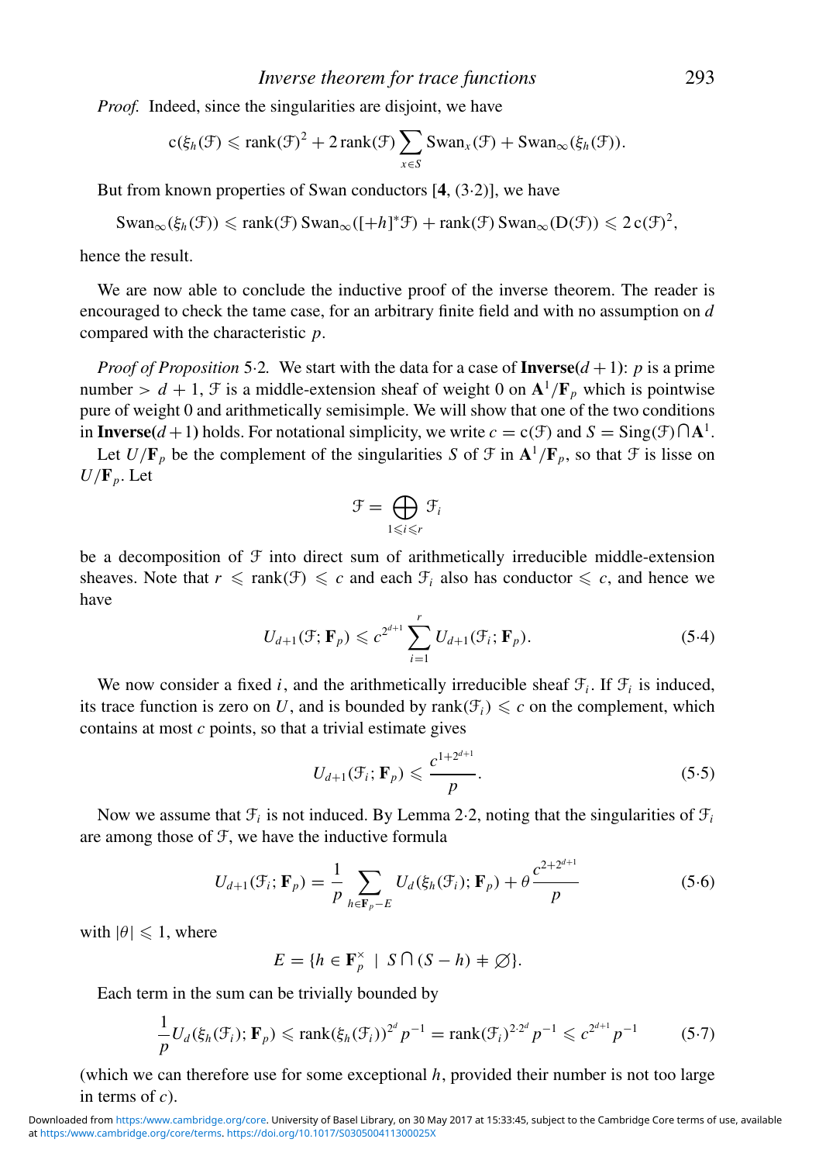*Proof.* Indeed, since the singularities are disjoint, we have

$$
\mathsf{c}(\xi_h(\mathcal{F})\leqslant \text{rank}(\mathcal{F})^2+2\,\text{rank}(\mathcal{F})\sum_{x\in S}\text{Swan}_x(\mathcal{F})+\text{Swan}_{\infty}(\xi_h(\mathcal{F})).
$$

But from known properties of Swan conductors [**4**, (3·2)], we have

$$
\mathrm{Swan}_{\infty}(\xi_h(\mathcal{F})) \leqslant \mathrm{rank}(\mathcal{F}) \mathrm{Swan}_{\infty}([+h]^*\mathcal{F}) + \mathrm{rank}(\mathcal{F}) \mathrm{Swan}_{\infty}(D(\mathcal{F})) \leqslant 2\,c(\mathcal{F})^2,
$$

hence the result.

We are now able to conclude the inductive proof of the inverse theorem. The reader is encouraged to check the tame case, for an arbitrary finite field and with no assumption on *d* compared with the characteristic *p*.

*Proof of Proposition* 5.2. We start with the data for a case of **Inverse** $(d+1)$ : *p* is a prime number  $> d + 1$ , F is a middle-extension sheaf of weight 0 on  $\mathbf{A}^1/\mathbf{F}_p$  which is pointwise pure of weight 0 and arithmetically semisimple. We will show that one of the two conditions in **Inverse**( $d+1$ ) holds. For notational simplicity, we write  $c = c(\mathcal{F})$  and  $S = \text{Sing}(\mathcal{F}) \cap A^1$ .

Let  $U/\mathbf{F}_p$  be the complement of the singularities *S* of  $\mathcal{F}$  in  $\mathbf{A}^1/\mathbf{F}_p$ , so that  $\mathcal{F}$  is lisse on  $U/\mathbf{F}_p$ . Let

$$
\mathcal{F} = \bigoplus_{1 \leq i \leq r} \mathcal{F}_i
$$

be a decomposition of  $\mathcal F$  into direct sum of arithmetically irreducible middle-extension sheaves. Note that  $r \leq \text{rank}(\mathcal{F}) \leq c$  and each  $\mathcal{F}_i$  also has conductor  $\leq c$ , and hence we have

$$
U_{d+1}(\mathcal{F}; \mathbf{F}_p) \leq c^{2^{d+1}} \sum_{i=1}^r U_{d+1}(\mathcal{F}_i; \mathbf{F}_p).
$$
 (5.4)

We now consider a fixed *i*, and the arithmetically irreducible sheaf  $\mathcal{F}_i$ . If  $\mathcal{F}_i$  is induced, its trace function is zero on U, and is bounded by rank( $\mathcal{F}_i$ )  $\leq c$  on the complement, which contains at most *c* points, so that a trivial estimate gives

$$
U_{d+1}(\mathcal{F}_i; \mathbf{F}_p) \leqslant \frac{c^{1+2^{d+1}}}{p}.\tag{5.5}
$$

Now we assume that  $\mathcal{F}_i$  is not induced. By Lemma 2.2, noting that the singularities of  $\mathcal{F}_i$ are among those of F, we have the inductive formula

$$
U_{d+1}(\mathcal{F}_i; \mathbf{F}_p) = \frac{1}{p} \sum_{h \in \mathbf{F}_p - E} U_d(\xi_h(\mathcal{F}_i); \mathbf{F}_p) + \theta \frac{c^{2 + 2^{d+1}}}{p}
$$
(5.6)

with  $|\theta| \leq 1$ , where

 $E = \{h \in \mathbf{F}_p^{\times} \mid S \cap (S - h) \neq \emptyset\}.$ 

Each term in the sum can be trivially bounded by

$$
\frac{1}{p}U_d(\xi_h(\mathcal{F}_i); \mathbf{F}_p) \leqslant \text{rank}(\xi_h(\mathcal{F}_i))^{2^d} p^{-1} = \text{rank}(\mathcal{F}_i)^{2 \cdot 2^d} p^{-1} \leqslant c^{2^{d+1}} p^{-1}
$$
\n(5.7)

(which we can therefore use for some exceptional *h*, provided their number is not too large in terms of *c*).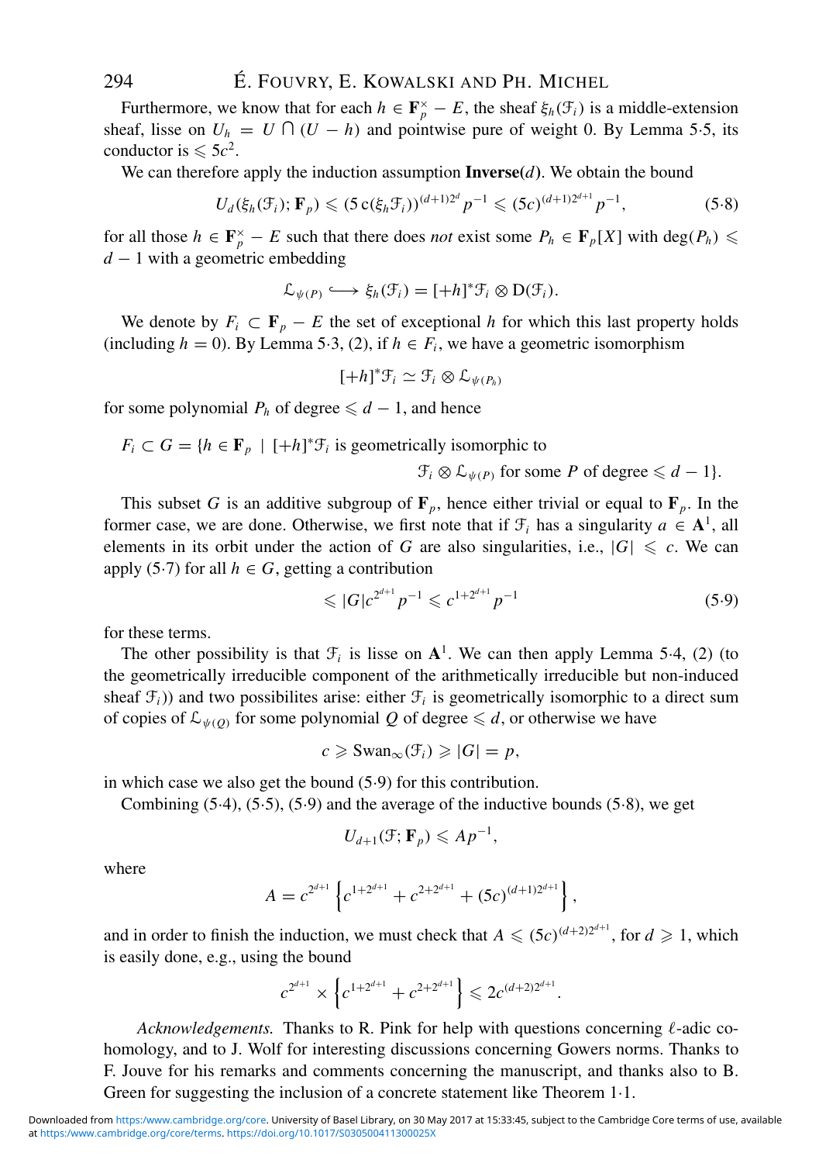Furthermore, we know that for each  $h \in \mathbf{F}_p^{\times} - E$ , the sheaf  $\xi_h(\mathcal{F}_i)$  is a middle-extension sheaf, lisse on  $U_h = U \cap (U - h)$  and pointwise pure of weight 0. By Lemma 5.5, its conductor is  $\leq 5c^2$ .

We can therefore apply the induction assumption **Inverse** $(d)$ . We obtain the bound

$$
U_d(\xi_h(\mathcal{F}_i); \mathbf{F}_p) \leq (5 \operatorname{c}(\xi_h \mathcal{F}_i))^{(d+1)2^d} p^{-1} \leq (5c)^{(d+1)2^{d+1}} p^{-1}, \tag{5.8}
$$

for all those  $h \in \mathbf{F}_p^{\times} - E$  such that there does *not* exist some  $P_h \in \mathbf{F}_p[X]$  with  $\text{deg}(P_h) \leq$ *d* − 1 with a geometric embedding

$$
\mathcal{L}_{\psi(P)} \longleftrightarrow \xi_h(\mathcal{F}_i) = [+h]^* \mathcal{F}_i \otimes D(\mathcal{F}_i).
$$

We denote by  $F_i \subset \mathbf{F}_p - E$  the set of exceptional *h* for which this last property holds (including  $h = 0$ ). By Lemma 5·3, (2), if  $h \in F_i$ , we have a geometric isomorphism

$$
[+h]^*\mathcal{F}_i \simeq \mathcal{F}_i \otimes \mathcal{L}_{\psi(P_h)}
$$

for some polynomial  $P_h$  of degree  $\le d - 1$ , and hence

 $F_i \subset G = \{ h \in \mathbf{F}_p \mid [+h]^* \mathcal{F}_i \text{ is geometrically isomorphic to }$ 

 $\mathcal{F}_i \otimes \mathcal{L}_{\psi(P)}$  for some *P* of degree  $\leq d-1$ .

This subset *G* is an additive subgroup of  $\mathbf{F}_p$ , hence either trivial or equal to  $\mathbf{F}_p$ . In the former case, we are done. Otherwise, we first note that if  $\mathcal{F}_i$  has a singularity  $a \in \mathbf{A}^1$ , all elements in its orbit under the action of *G* are also singularities, i.e.,  $|G| \leq c$ . We can apply (5·7) for all  $h \in G$ , getting a contribution

$$
\leqslant |G|c^{2^{d+1}}p^{-1} \leqslant c^{1+2^{d+1}}p^{-1} \tag{5.9}
$$

for these terms.

The other possibility is that  $\mathcal{F}_i$  is lisse on  $\mathbf{A}^1$ . We can then apply Lemma 5.4, (2) (to the geometrically irreducible component of the arithmetically irreducible but non-induced sheaf  $\mathcal{F}_i$ )) and two possibilites arise: either  $\mathcal{F}_i$  is geometrically isomorphic to a direct sum of copies of  $\mathcal{L}_{\psi(Q)}$  for some polynomial Q of degree  $\leq d$ , or otherwise we have

$$
c \geqslant \mathrm{Swan}_{\infty}(\mathcal{F}_i) \geqslant |G| = p,
$$

in which case we also get the bound (5·9) for this contribution.

Combining (5·4), (5·5), (5·9) and the average of the inductive bounds (5·8), we get

$$
U_{d+1}(\mathcal{F};\mathbf{F}_p)\leqslant Ap^{-1},
$$

where

$$
A = c^{2^{d+1}} \left\{ c^{1+2^{d+1}} + c^{2+2^{d+1}} + (5c)^{(d+1)2^{d+1}} \right\},
$$

and in order to finish the induction, we must check that  $A \leq (5c)^{(d+2)2^{d+1}}$ , for  $d \geq 1$ , which is easily done, e.g., using the bound

$$
c^{2^{d+1}} \times \left\{ c^{1+2^{d+1}} + c^{2+2^{d+1}} \right\} \leq 2c^{(d+2)2^{d+1}}.
$$

Acknowledgements. Thanks to R. Pink for help with questions concerning  $\ell$ -adic cohomology, and to J. Wolf for interesting discussions concerning Gowers norms. Thanks to F. Jouve for his remarks and comments concerning the manuscript, and thanks also to B. Green for suggesting the inclusion of a concrete statement like Theorem 1·1.